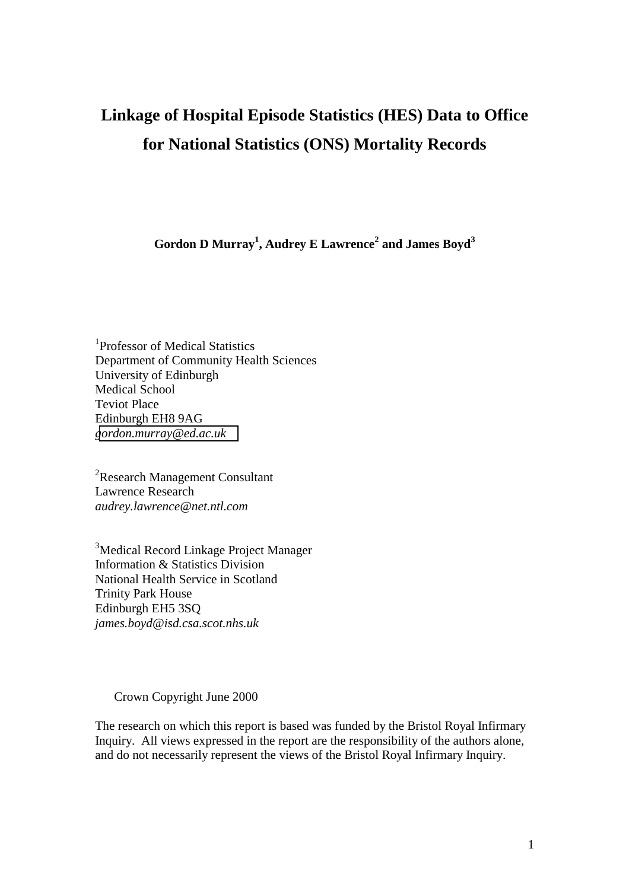# **Linkage of Hospital Episode Statistics (HES) Data to Office for National Statistics (ONS) Mortality Records**

Gordon D Murray<sup>1</sup>, Audrey E Lawrence<sup>2</sup> and James Boyd<sup>3</sup>

1 Professor of Medical Statistics Department of Community Health Sciences University of Edinburgh Medical School Teviot Place Edinburgh EH8 9AG *[gordon.murray@ed.ac.uk](mailto:Gordon.murra@ed.ac.uk)* 

<sup>2</sup>Research Management Consultant Lawrence Research *audrey.lawrence@net.ntl.com* 

<sup>3</sup>Medical Record Linkage Project Manager Information & Statistics Division National Health Service in Scotland Trinity Park House Edinburgh EH5 3SQ *james.boyd@isd.csa.scot.nhs.uk* 

#### Crown Copyright June 2000

The research on which this report is based was funded by the Bristol Royal Infirmary Inquiry. All views expressed in the report are the responsibility of the authors alone, and do not necessarily represent the views of the Bristol Royal Infirmary Inquiry.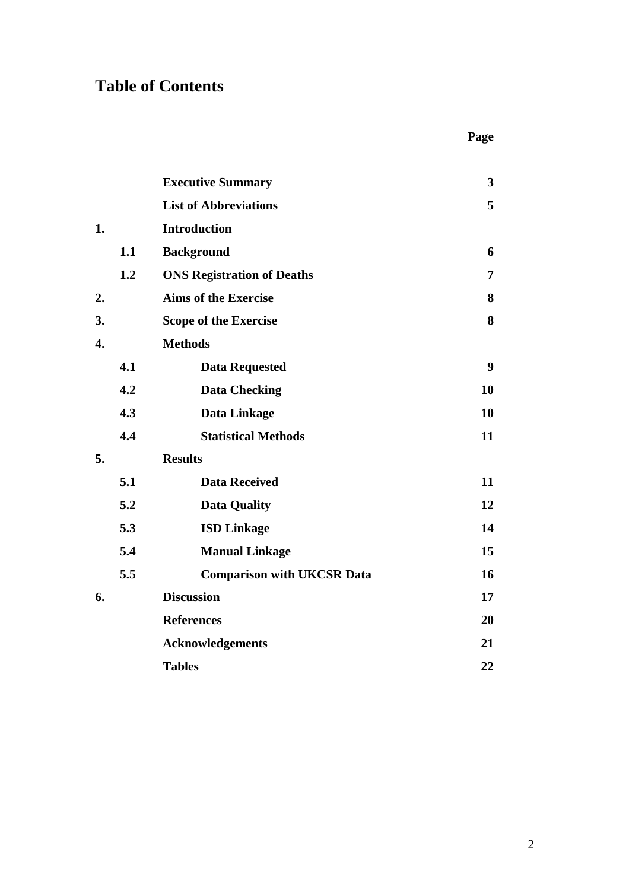# **Table of Contents**

|    |     | <b>Executive Summary</b>          | $\overline{\mathbf{3}}$ |
|----|-----|-----------------------------------|-------------------------|
|    |     | <b>List of Abbreviations</b>      | 5                       |
| 1. |     | <b>Introduction</b>               |                         |
|    | 1.1 | <b>Background</b>                 | 6                       |
|    | 1.2 | <b>ONS Registration of Deaths</b> | 7                       |
| 2. |     | <b>Aims of the Exercise</b>       | 8                       |
| 3. |     | <b>Scope of the Exercise</b>      | 8                       |
| 4. |     | <b>Methods</b>                    |                         |
|    | 4.1 | <b>Data Requested</b>             | $\boldsymbol{9}$        |
|    | 4.2 | <b>Data Checking</b>              | 10                      |
|    | 4.3 | Data Linkage                      | 10                      |
|    | 4.4 | <b>Statistical Methods</b>        | 11                      |
| 5. |     | <b>Results</b>                    |                         |
|    | 5.1 | <b>Data Received</b>              | 11                      |
|    | 5.2 | <b>Data Quality</b>               | 12                      |
|    | 5.3 | <b>ISD Linkage</b>                | 14                      |
|    | 5.4 | <b>Manual Linkage</b>             | 15                      |
|    | 5.5 | <b>Comparison with UKCSR Data</b> | 16                      |
| 6. |     | <b>Discussion</b>                 | 17                      |
|    |     | <b>References</b>                 | 20                      |
|    |     | <b>Acknowledgements</b>           | 21                      |
|    |     | <b>Tables</b>                     | 22                      |

 **Page**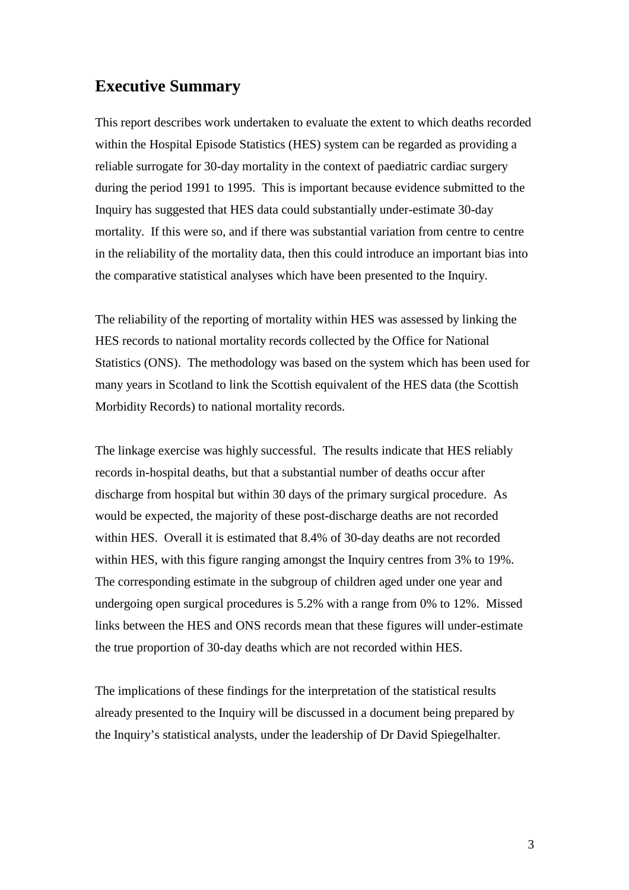# **Executive Summary**

This report describes work undertaken to evaluate the extent to which deaths recorded within the Hospital Episode Statistics (HES) system can be regarded as providing a reliable surrogate for 30-day mortality in the context of paediatric cardiac surgery during the period 1991 to 1995. This is important because evidence submitted to the Inquiry has suggested that HES data could substantially under-estimate 30-day mortality. If this were so, and if there was substantial variation from centre to centre in the reliability of the mortality data, then this could introduce an important bias into the comparative statistical analyses which have been presented to the Inquiry.

The reliability of the reporting of mortality within HES was assessed by linking the HES records to national mortality records collected by the Office for National Statistics (ONS). The methodology was based on the system which has been used for many years in Scotland to link the Scottish equivalent of the HES data (the Scottish Morbidity Records) to national mortality records.

The linkage exercise was highly successful. The results indicate that HES reliably records in-hospital deaths, but that a substantial number of deaths occur after discharge from hospital but within 30 days of the primary surgical procedure. As would be expected, the majority of these post-discharge deaths are not recorded within HES. Overall it is estimated that 8.4% of 30-day deaths are not recorded within HES, with this figure ranging amongst the Inquiry centres from 3% to 19%. The corresponding estimate in the subgroup of children aged under one year and undergoing open surgical procedures is 5.2% with a range from 0% to 12%. Missed links between the HES and ONS records mean that these figures will under-estimate the true proportion of 30-day deaths which are not recorded within HES.

The implications of these findings for the interpretation of the statistical results already presented to the Inquiry will be discussed in a document being prepared by the Inquiry's statistical analysts, under the leadership of Dr David Spiegelhalter.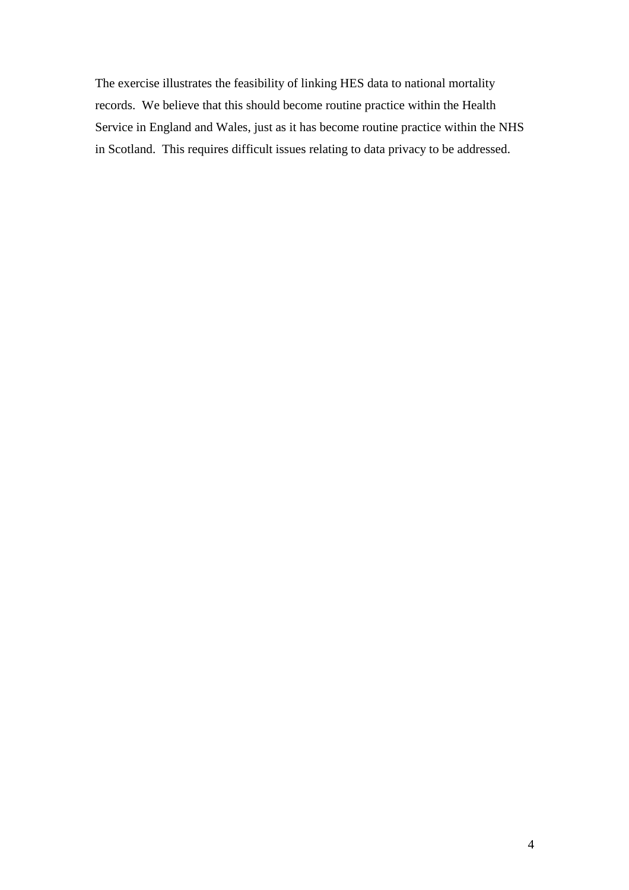The exercise illustrates the feasibility of linking HES data to national mortality records. We believe that this should become routine practice within the Health Service in England and Wales, just as it has become routine practice within the NHS in Scotland. This requires difficult issues relating to data privacy to be addressed.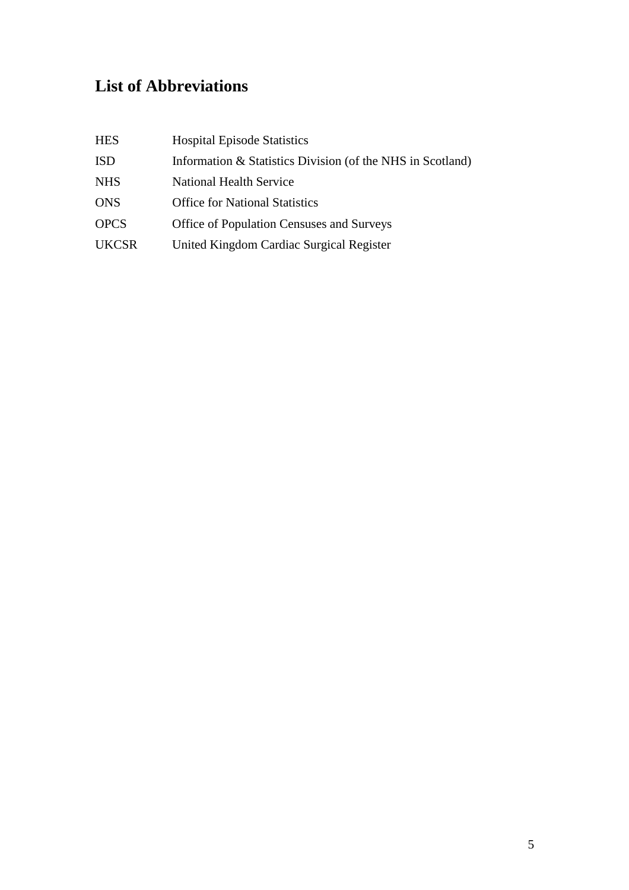# **List of Abbreviations**

| <b>HES</b>   | <b>Hospital Episode Statistics</b>                         |
|--------------|------------------------------------------------------------|
| <b>ISD</b>   | Information & Statistics Division (of the NHS in Scotland) |
| <b>NHS</b>   | <b>National Health Service</b>                             |
| <b>ONS</b>   | <b>Office for National Statistics</b>                      |
| <b>OPCS</b>  | <b>Office of Population Censuses and Surveys</b>           |
| <b>UKCSR</b> | United Kingdom Cardiac Surgical Register                   |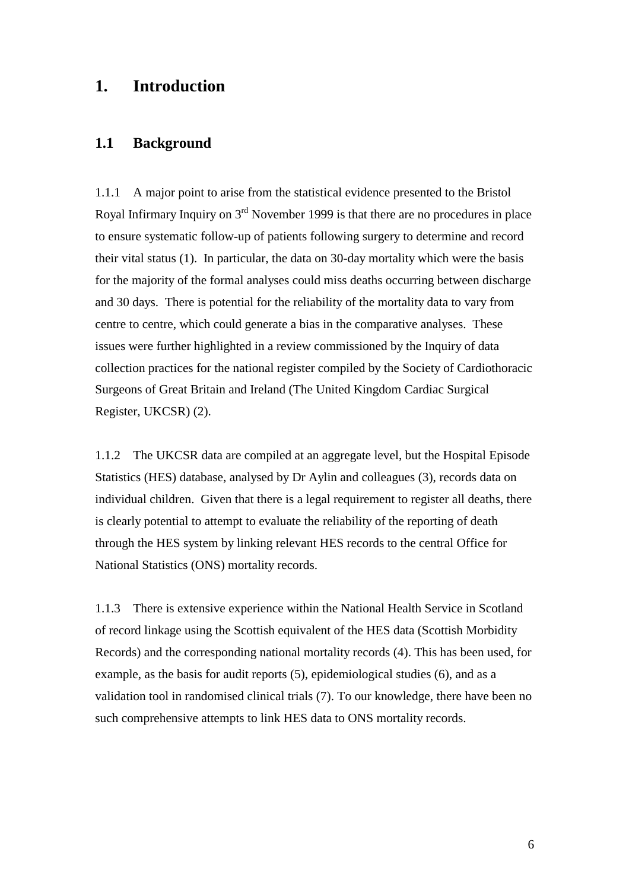# **1. Introduction**

### **1.1 Background**

1.1.1 A major point to arise from the statistical evidence presented to the Bristol Royal Infirmary Inquiry on  $3<sup>rd</sup>$  November 1999 is that there are no procedures in place to ensure systematic follow-up of patients following surgery to determine and record their vital status (1). In particular, the data on 30-day mortality which were the basis for the majority of the formal analyses could miss deaths occurring between discharge and 30 days. There is potential for the reliability of the mortality data to vary from centre to centre, which could generate a bias in the comparative analyses. These issues were further highlighted in a review commissioned by the Inquiry of data collection practices for the national register compiled by the Society of Cardiothoracic Surgeons of Great Britain and Ireland (The United Kingdom Cardiac Surgical Register, UKCSR) (2).

1.1.2 The UKCSR data are compiled at an aggregate level, but the Hospital Episode Statistics (HES) database, analysed by Dr Aylin and colleagues (3), records data on individual children. Given that there is a legal requirement to register all deaths, there is clearly potential to attempt to evaluate the reliability of the reporting of death through the HES system by linking relevant HES records to the central Office for National Statistics (ONS) mortality records.

1.1.3 There is extensive experience within the National Health Service in Scotland of record linkage using the Scottish equivalent of the HES data (Scottish Morbidity Records) and the corresponding national mortality records (4). This has been used, for example, as the basis for audit reports (5), epidemiological studies (6), and as a validation tool in randomised clinical trials (7). To our knowledge, there have been no such comprehensive attempts to link HES data to ONS mortality records.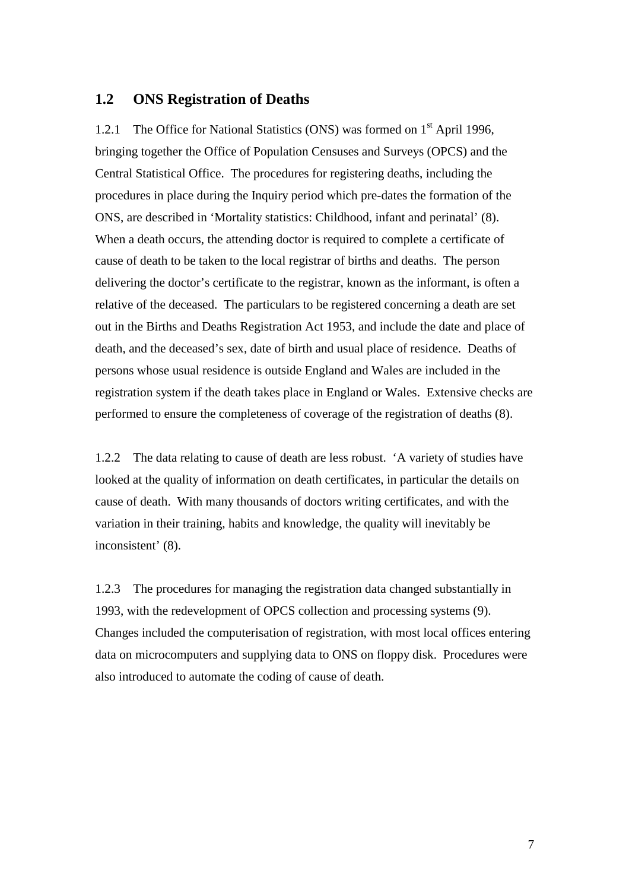### **1.2 ONS Registration of Deaths**

1.2.1 The Office for National Statistics (ONS) was formed on 1<sup>st</sup> April 1996, bringing together the Office of Population Censuses and Surveys (OPCS) and the Central Statistical Office. The procedures for registering deaths, including the procedures in place during the Inquiry period which pre-dates the formation of the ONS, are described in 'Mortality statistics: Childhood, infant and perinatal' (8). When a death occurs, the attending doctor is required to complete a certificate of cause of death to be taken to the local registrar of births and deaths. The person delivering the doctor's certificate to the registrar, known as the informant, is often a relative of the deceased. The particulars to be registered concerning a death are set out in the Births and Deaths Registration Act 1953, and include the date and place of death, and the deceased's sex, date of birth and usual place of residence. Deaths of persons whose usual residence is outside England and Wales are included in the registration system if the death takes place in England or Wales. Extensive checks are performed to ensure the completeness of coverage of the registration of deaths (8).

1.2.2 The data relating to cause of death are less robust. 'A variety of studies have looked at the quality of information on death certificates, in particular the details on cause of death. With many thousands of doctors writing certificates, and with the variation in their training, habits and knowledge, the quality will inevitably be inconsistent' (8).

1.2.3 The procedures for managing the registration data changed substantially in 1993, with the redevelopment of OPCS collection and processing systems (9). Changes included the computerisation of registration, with most local offices entering data on microcomputers and supplying data to ONS on floppy disk. Procedures were also introduced to automate the coding of cause of death.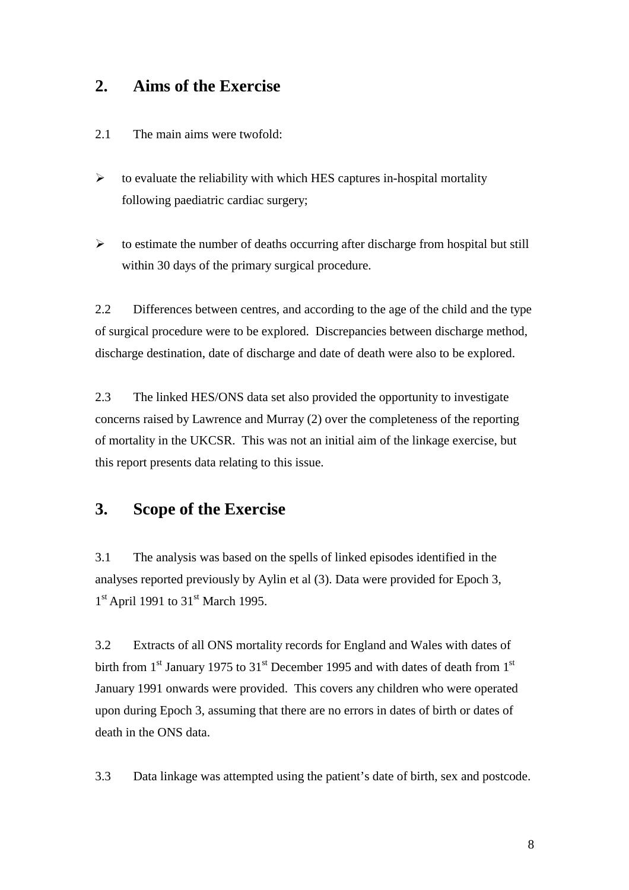# **2. Aims of the Exercise**

- 2.1 The main aims were twofold:
- $\blacktriangleright$  to evaluate the reliability with which HES captures in-hospital mortality following paediatric cardiac surgery;
- $\blacktriangleright$  to estimate the number of deaths occurring after discharge from hospital but still within 30 days of the primary surgical procedure.

2.2 Differences between centres, and according to the age of the child and the type of surgical procedure were to be explored. Discrepancies between discharge method, discharge destination, date of discharge and date of death were also to be explored.

2.3 The linked HES/ONS data set also provided the opportunity to investigate concerns raised by Lawrence and Murray (2) over the completeness of the reporting of mortality in the UKCSR. This was not an initial aim of the linkage exercise, but this report presents data relating to this issue.

# **3. Scope of the Exercise**

3.1 The analysis was based on the spells of linked episodes identified in the analyses reported previously by Aylin et al (3). Data were provided for Epoch 3,  $1<sup>st</sup>$  April 1991 to 31<sup>st</sup> March 1995.

3.2 Extracts of all ONS mortality records for England and Wales with dates of birth from  $1<sup>st</sup>$  January 1975 to  $31<sup>st</sup>$  December 1995 and with dates of death from  $1<sup>st</sup>$ January 1991 onwards were provided. This covers any children who were operated upon during Epoch 3, assuming that there are no errors in dates of birth or dates of death in the ONS data.

3.3 Data linkage was attempted using the patient's date of birth, sex and postcode.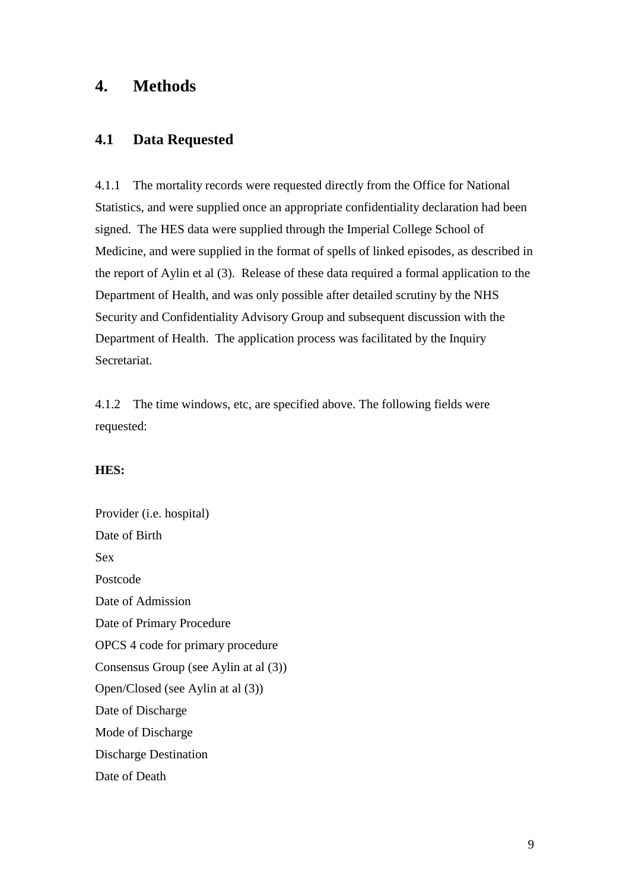# **4. Methods**

# **4.1 Data Requested**

4.1.1 The mortality records were requested directly from the Office for National Statistics, and were supplied once an appropriate confidentiality declaration had been signed. The HES data were supplied through the Imperial College School of Medicine, and were supplied in the format of spells of linked episodes, as described in the report of Aylin et al (3). Release of these data required a formal application to the Department of Health, and was only possible after detailed scrutiny by the NHS Security and Confidentiality Advisory Group and subsequent discussion with the Department of Health. The application process was facilitated by the Inquiry Secretariat.

4.1.2 The time windows, etc, are specified above. The following fields were requested:

### **HES:**

Provider (i.e. hospital) Date of Birth Sex Postcode Date of Admission Date of Primary Procedure OPCS 4 code for primary procedure Consensus Group (see Aylin at al (3)) Open/Closed (see Aylin at al (3)) Date of Discharge Mode of Discharge Discharge Destination Date of Death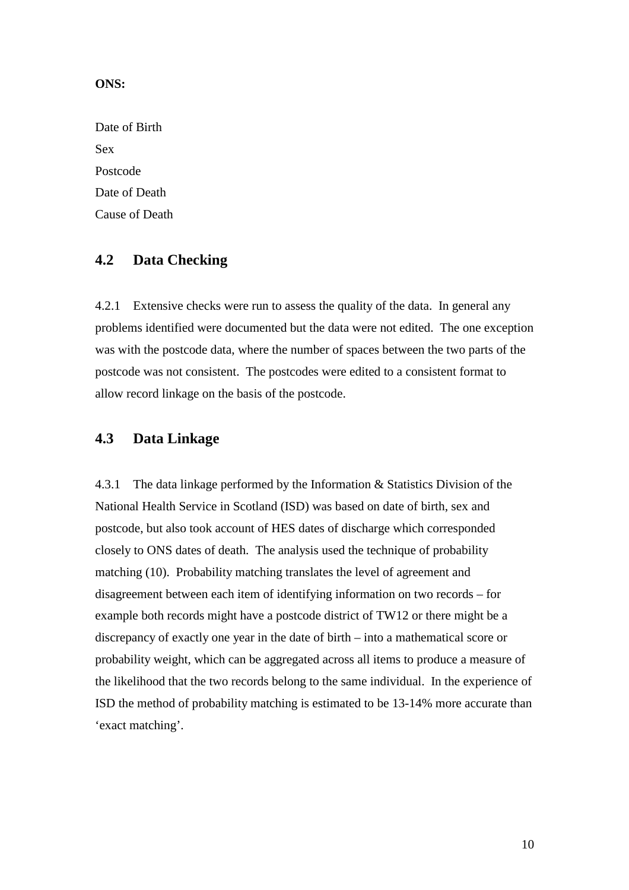#### **ONS:**

Date of Birth Sex Postcode Date of Death Cause of Death

# **4.2 Data Checking**

4.2.1 Extensive checks were run to assess the quality of the data. In general any problems identified were documented but the data were not edited. The one exception was with the postcode data, where the number of spaces between the two parts of the postcode was not consistent. The postcodes were edited to a consistent format to allow record linkage on the basis of the postcode.

# **4.3 Data Linkage**

4.3.1 The data linkage performed by the Information & Statistics Division of the National Health Service in Scotland (ISD) was based on date of birth, sex and postcode, but also took account of HES dates of discharge which corresponded closely to ONS dates of death. The analysis used the technique of probability matching (10). Probability matching translates the level of agreement and disagreement between each item of identifying information on two records – for example both records might have a postcode district of TW12 or there might be a discrepancy of exactly one year in the date of birth – into a mathematical score or probability weight, which can be aggregated across all items to produce a measure of the likelihood that the two records belong to the same individual. In the experience of ISD the method of probability matching is estimated to be 13-14% more accurate than 'exact matching'.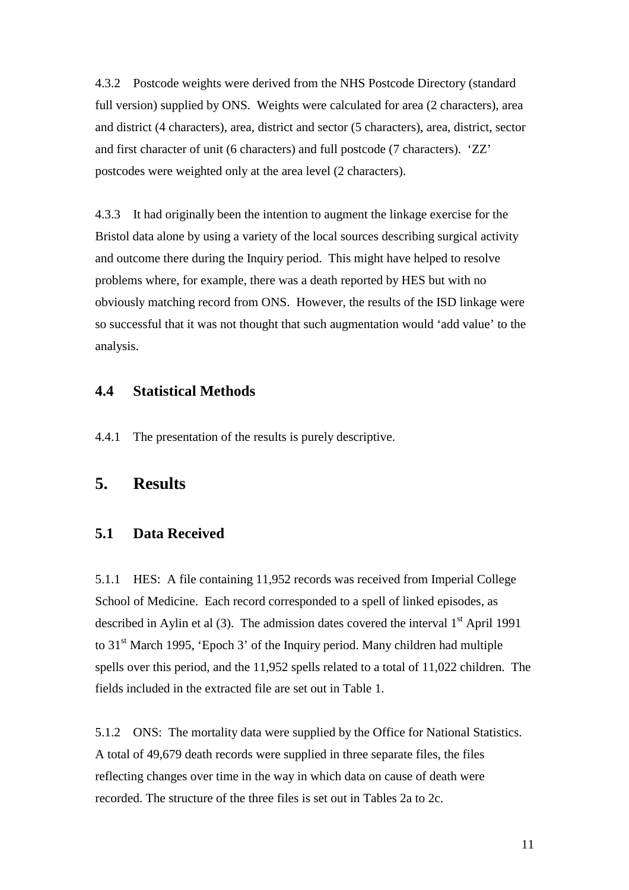4.3.2 Postcode weights were derived from the NHS Postcode Directory (standard full version) supplied by ONS. Weights were calculated for area (2 characters), area and district (4 characters), area, district and sector (5 characters), area, district, sector and first character of unit (6 characters) and full postcode (7 characters). 'ZZ' postcodes were weighted only at the area level (2 characters).

4.3.3 It had originally been the intention to augment the linkage exercise for the Bristol data alone by using a variety of the local sources describing surgical activity and outcome there during the Inquiry period. This might have helped to resolve problems where, for example, there was a death reported by HES but with no obviously matching record from ONS. However, the results of the ISD linkage were so successful that it was not thought that such augmentation would 'add value' to the analysis.

# **4.4 Statistical Methods**

4.4.1 The presentation of the results is purely descriptive.

# **5. Results**

# **5.1 Data Received**

5.1.1 HES: A file containing 11,952 records was received from Imperial College School of Medicine. Each record corresponded to a spell of linked episodes, as described in Aylin et al  $(3)$ . The admission dates covered the interval  $1<sup>st</sup>$  April 1991 to 31st March 1995, 'Epoch 3' of the Inquiry period. Many children had multiple spells over this period, and the 11,952 spells related to a total of 11,022 children. The fields included in the extracted file are set out in Table 1.

5.1.2 ONS: The mortality data were supplied by the Office for National Statistics. A total of 49,679 death records were supplied in three separate files, the files reflecting changes over time in the way in which data on cause of death were recorded. The structure of the three files is set out in Tables 2a to 2c.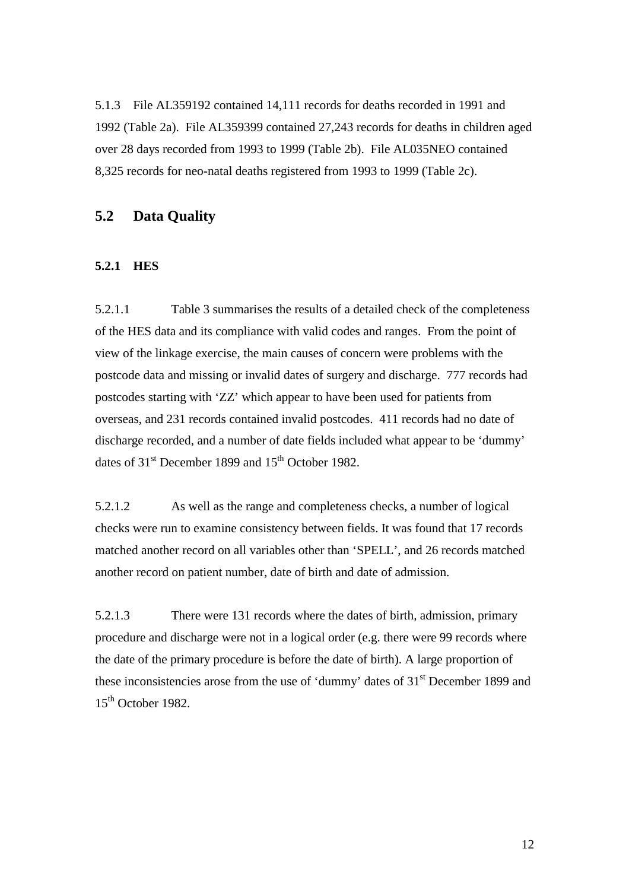5.1.3 File AL359192 contained 14,111 records for deaths recorded in 1991 and 1992 (Table 2a). File AL359399 contained 27,243 records for deaths in children aged over 28 days recorded from 1993 to 1999 (Table 2b). File AL035NEO contained 8,325 records for neo-natal deaths registered from 1993 to 1999 (Table 2c).

# **5.2 Data Quality**

#### **5.2.1 HES**

5.2.1.1 Table 3 summarises the results of a detailed check of the completeness of the HES data and its compliance with valid codes and ranges. From the point of view of the linkage exercise, the main causes of concern were problems with the postcode data and missing or invalid dates of surgery and discharge. 777 records had postcodes starting with 'ZZ' which appear to have been used for patients from overseas, and 231 records contained invalid postcodes. 411 records had no date of discharge recorded, and a number of date fields included what appear to be 'dummy' dates of  $31<sup>st</sup>$  December 1899 and  $15<sup>th</sup>$  October 1982.

5.2.1.2 As well as the range and completeness checks, a number of logical checks were run to examine consistency between fields. It was found that 17 records matched another record on all variables other than 'SPELL', and 26 records matched another record on patient number, date of birth and date of admission.

5.2.1.3 There were 131 records where the dates of birth, admission, primary procedure and discharge were not in a logical order (e.g. there were 99 records where the date of the primary procedure is before the date of birth). A large proportion of these inconsistencies arose from the use of 'dummy' dates of 31st December 1899 and 15th October 1982.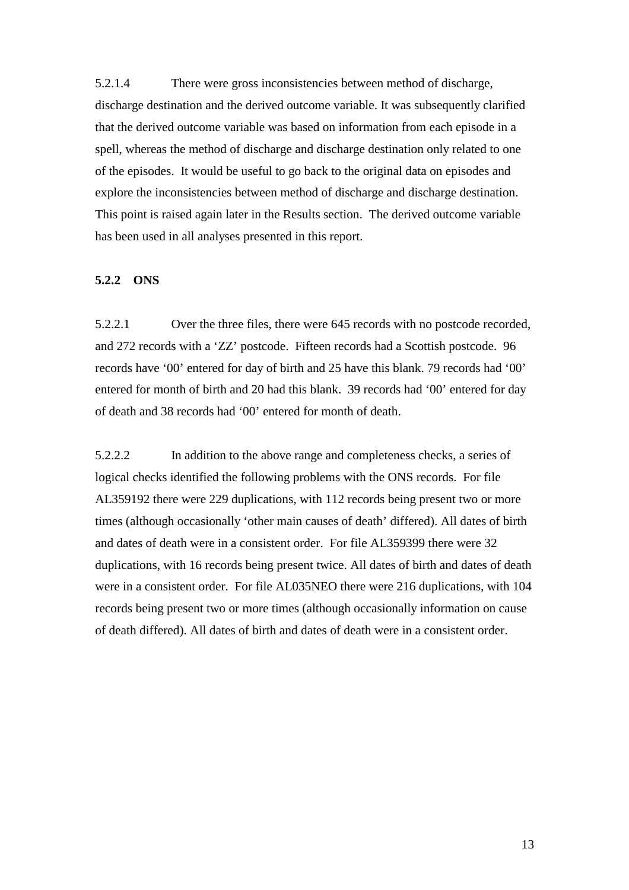5.2.1.4 There were gross inconsistencies between method of discharge, discharge destination and the derived outcome variable. It was subsequently clarified that the derived outcome variable was based on information from each episode in a spell, whereas the method of discharge and discharge destination only related to one of the episodes. It would be useful to go back to the original data on episodes and explore the inconsistencies between method of discharge and discharge destination. This point is raised again later in the Results section. The derived outcome variable has been used in all analyses presented in this report.

#### **5.2.2 ONS**

5.2.2.1 Over the three files, there were 645 records with no postcode recorded, and 272 records with a 'ZZ' postcode. Fifteen records had a Scottish postcode. 96 records have '00' entered for day of birth and 25 have this blank. 79 records had '00' entered for month of birth and 20 had this blank. 39 records had '00' entered for day of death and 38 records had '00' entered for month of death.

5.2.2.2 In addition to the above range and completeness checks, a series of logical checks identified the following problems with the ONS records. For file AL359192 there were 229 duplications, with 112 records being present two or more times (although occasionally 'other main causes of death' differed). All dates of birth and dates of death were in a consistent order. For file AL359399 there were 32 duplications, with 16 records being present twice. All dates of birth and dates of death were in a consistent order. For file AL035NEO there were 216 duplications, with 104 records being present two or more times (although occasionally information on cause of death differed). All dates of birth and dates of death were in a consistent order.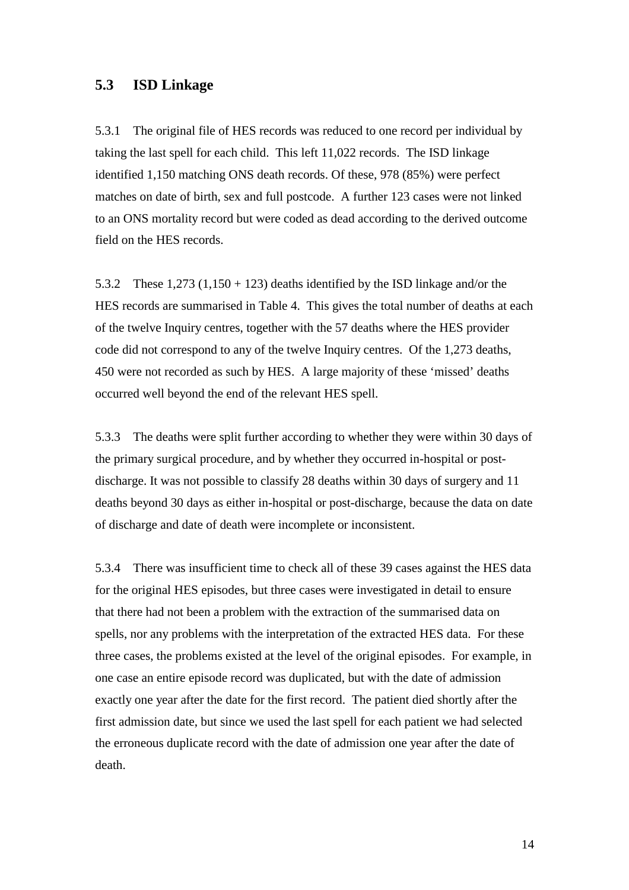### **5.3 ISD Linkage**

5.3.1 The original file of HES records was reduced to one record per individual by taking the last spell for each child. This left 11,022 records. The ISD linkage identified 1,150 matching ONS death records. Of these, 978 (85%) were perfect matches on date of birth, sex and full postcode. A further 123 cases were not linked to an ONS mortality record but were coded as dead according to the derived outcome field on the HES records.

5.3.2 These  $1,273$  (1,150 + 123) deaths identified by the ISD linkage and/or the HES records are summarised in Table 4. This gives the total number of deaths at each of the twelve Inquiry centres, together with the 57 deaths where the HES provider code did not correspond to any of the twelve Inquiry centres. Of the 1,273 deaths, 450 were not recorded as such by HES. A large majority of these 'missed' deaths occurred well beyond the end of the relevant HES spell.

5.3.3 The deaths were split further according to whether they were within 30 days of the primary surgical procedure, and by whether they occurred in-hospital or postdischarge. It was not possible to classify 28 deaths within 30 days of surgery and 11 deaths beyond 30 days as either in-hospital or post-discharge, because the data on date of discharge and date of death were incomplete or inconsistent.

5.3.4 There was insufficient time to check all of these 39 cases against the HES data for the original HES episodes, but three cases were investigated in detail to ensure that there had not been a problem with the extraction of the summarised data on spells, nor any problems with the interpretation of the extracted HES data. For these three cases, the problems existed at the level of the original episodes. For example, in one case an entire episode record was duplicated, but with the date of admission exactly one year after the date for the first record. The patient died shortly after the first admission date, but since we used the last spell for each patient we had selected the erroneous duplicate record with the date of admission one year after the date of death.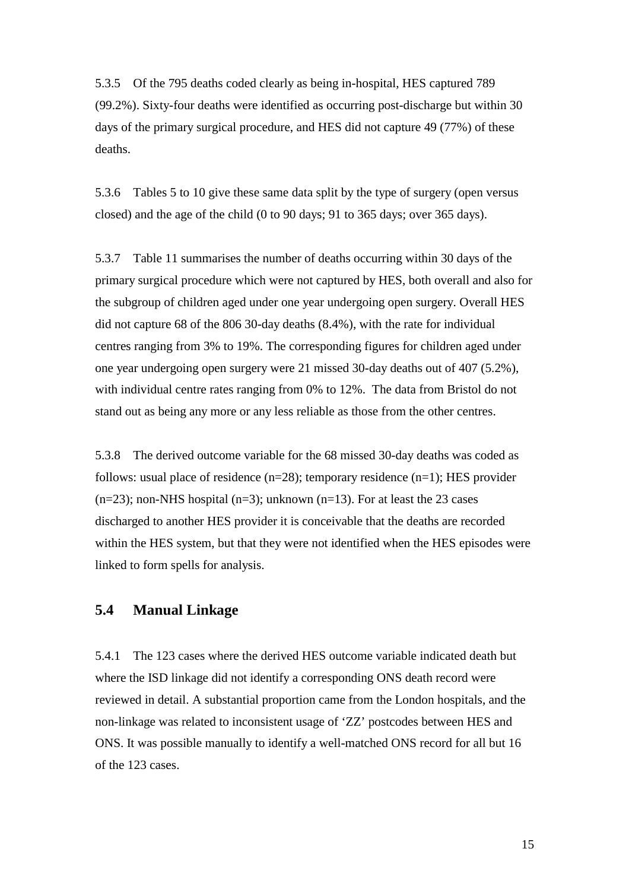5.3.5 Of the 795 deaths coded clearly as being in-hospital, HES captured 789 (99.2%). Sixty-four deaths were identified as occurring post-discharge but within 30 days of the primary surgical procedure, and HES did not capture 49 (77%) of these deaths.

5.3.6 Tables 5 to 10 give these same data split by the type of surgery (open versus closed) and the age of the child (0 to 90 days; 91 to 365 days; over 365 days).

5.3.7 Table 11 summarises the number of deaths occurring within 30 days of the primary surgical procedure which were not captured by HES, both overall and also for the subgroup of children aged under one year undergoing open surgery. Overall HES did not capture 68 of the 806 30-day deaths (8.4%), with the rate for individual centres ranging from 3% to 19%. The corresponding figures for children aged under one year undergoing open surgery were 21 missed 30-day deaths out of 407 (5.2%), with individual centre rates ranging from 0% to 12%. The data from Bristol do not stand out as being any more or any less reliable as those from the other centres.

5.3.8 The derived outcome variable for the 68 missed 30-day deaths was coded as follows: usual place of residence  $(n=28)$ ; temporary residence  $(n=1)$ ; HES provider  $(n=23)$ ; non-NHS hospital  $(n=3)$ ; unknown  $(n=13)$ . For at least the 23 cases discharged to another HES provider it is conceivable that the deaths are recorded within the HES system, but that they were not identified when the HES episodes were linked to form spells for analysis.

# **5.4 Manual Linkage**

5.4.1 The 123 cases where the derived HES outcome variable indicated death but where the ISD linkage did not identify a corresponding ONS death record were reviewed in detail. A substantial proportion came from the London hospitals, and the non-linkage was related to inconsistent usage of 'ZZ' postcodes between HES and ONS. It was possible manually to identify a well-matched ONS record for all but 16 of the 123 cases.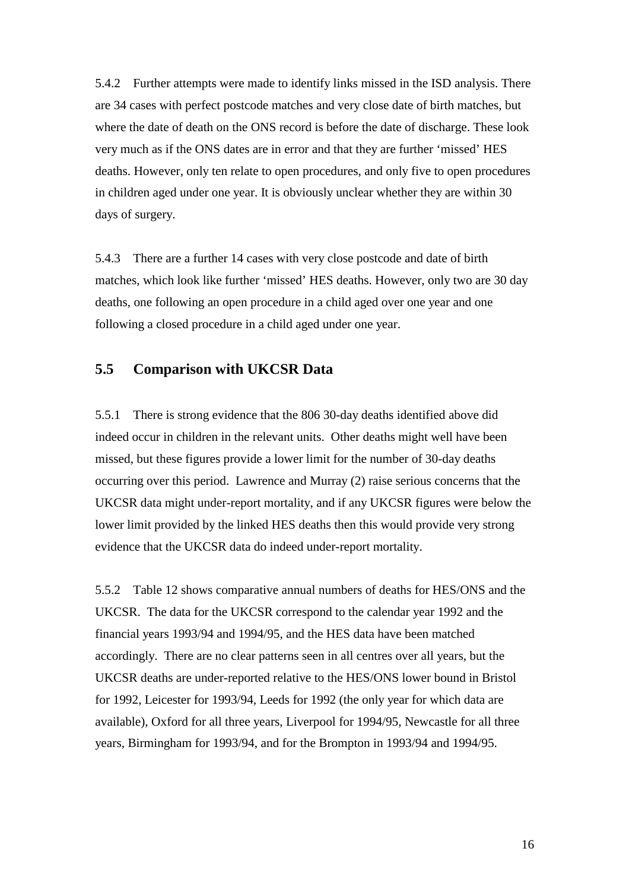5.4.2 Further attempts were made to identify links missed in the ISD analysis. There are 34 cases with perfect postcode matches and very close date of birth matches, but where the date of death on the ONS record is before the date of discharge. These look very much as if the ONS dates are in error and that they are further 'missed' HES deaths. However, only ten relate to open procedures, and only five to open procedures in children aged under one year. It is obviously unclear whether they are within 30 days of surgery.

5.4.3 There are a further 14 cases with very close postcode and date of birth matches, which look like further 'missed' HES deaths. However, only two are 30 day deaths, one following an open procedure in a child aged over one year and one following a closed procedure in a child aged under one year.

# **5.5 Comparison with UKCSR Data**

5.5.1 There is strong evidence that the 806 30-day deaths identified above did indeed occur in children in the relevant units. Other deaths might well have been missed, but these figures provide a lower limit for the number of 30-day deaths occurring over this period. Lawrence and Murray (2) raise serious concerns that the UKCSR data might under-report mortality, and if any UKCSR figures were below the lower limit provided by the linked HES deaths then this would provide very strong evidence that the UKCSR data do indeed under-report mortality.

5.5.2 Table 12 shows comparative annual numbers of deaths for HES/ONS and the UKCSR. The data for the UKCSR correspond to the calendar year 1992 and the financial years 1993/94 and 1994/95, and the HES data have been matched accordingly. There are no clear patterns seen in all centres over all years, but the UKCSR deaths are under-reported relative to the HES/ONS lower bound in Bristol for 1992, Leicester for 1993/94, Leeds for 1992 (the only year for which data are available), Oxford for all three years, Liverpool for 1994/95, Newcastle for all three years, Birmingham for 1993/94, and for the Brompton in 1993/94 and 1994/95.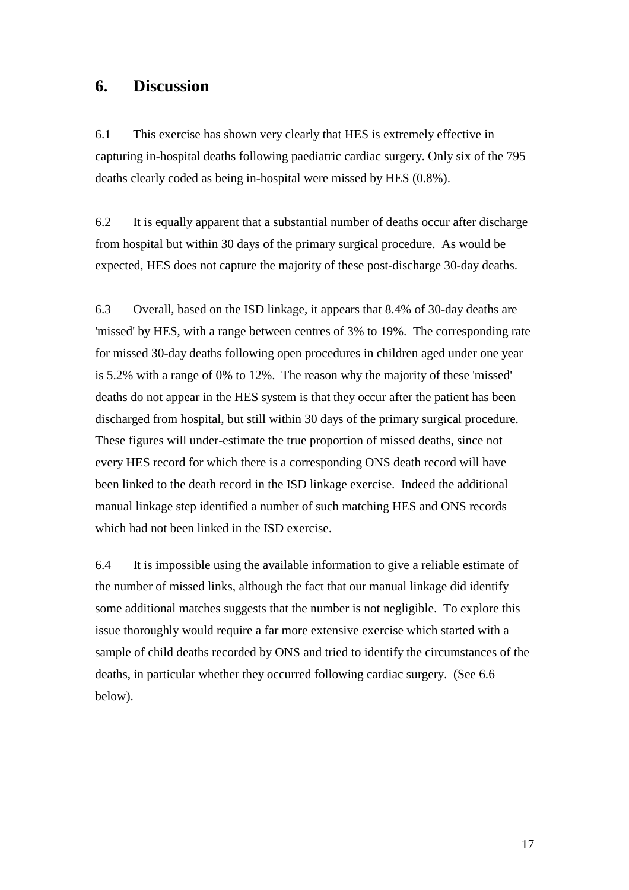# **6. Discussion**

6.1 This exercise has shown very clearly that HES is extremely effective in capturing in-hospital deaths following paediatric cardiac surgery. Only six of the 795 deaths clearly coded as being in-hospital were missed by HES (0.8%).

6.2 It is equally apparent that a substantial number of deaths occur after discharge from hospital but within 30 days of the primary surgical procedure. As would be expected, HES does not capture the majority of these post-discharge 30-day deaths.

6.3 Overall, based on the ISD linkage, it appears that 8.4% of 30-day deaths are 'missed' by HES, with a range between centres of 3% to 19%. The corresponding rate for missed 30-day deaths following open procedures in children aged under one year is 5.2% with a range of 0% to 12%. The reason why the majority of these 'missed' deaths do not appear in the HES system is that they occur after the patient has been discharged from hospital, but still within 30 days of the primary surgical procedure. These figures will under-estimate the true proportion of missed deaths, since not every HES record for which there is a corresponding ONS death record will have been linked to the death record in the ISD linkage exercise. Indeed the additional manual linkage step identified a number of such matching HES and ONS records which had not been linked in the ISD exercise.

6.4 It is impossible using the available information to give a reliable estimate of the number of missed links, although the fact that our manual linkage did identify some additional matches suggests that the number is not negligible. To explore this issue thoroughly would require a far more extensive exercise which started with a sample of child deaths recorded by ONS and tried to identify the circumstances of the deaths, in particular whether they occurred following cardiac surgery. (See 6.6 below).

17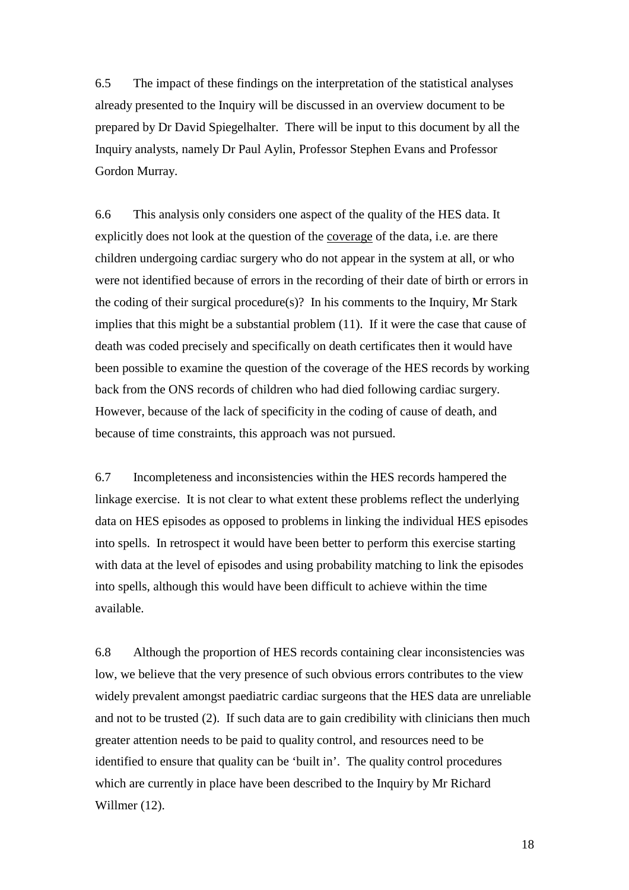6.5 The impact of these findings on the interpretation of the statistical analyses already presented to the Inquiry will be discussed in an overview document to be prepared by Dr David Spiegelhalter. There will be input to this document by all the Inquiry analysts, namely Dr Paul Aylin, Professor Stephen Evans and Professor Gordon Murray.

6.6 This analysis only considers one aspect of the quality of the HES data. It explicitly does not look at the question of the coverage of the data, i.e. are there children undergoing cardiac surgery who do not appear in the system at all, or who were not identified because of errors in the recording of their date of birth or errors in the coding of their surgical procedure(s)? In his comments to the Inquiry, Mr Stark implies that this might be a substantial problem (11). If it were the case that cause of death was coded precisely and specifically on death certificates then it would have been possible to examine the question of the coverage of the HES records by working back from the ONS records of children who had died following cardiac surgery. However, because of the lack of specificity in the coding of cause of death, and because of time constraints, this approach was not pursued.

6.7 Incompleteness and inconsistencies within the HES records hampered the linkage exercise. It is not clear to what extent these problems reflect the underlying data on HES episodes as opposed to problems in linking the individual HES episodes into spells. In retrospect it would have been better to perform this exercise starting with data at the level of episodes and using probability matching to link the episodes into spells, although this would have been difficult to achieve within the time available.

6.8 Although the proportion of HES records containing clear inconsistencies was low, we believe that the very presence of such obvious errors contributes to the view widely prevalent amongst paediatric cardiac surgeons that the HES data are unreliable and not to be trusted (2). If such data are to gain credibility with clinicians then much greater attention needs to be paid to quality control, and resources need to be identified to ensure that quality can be 'built in'. The quality control procedures which are currently in place have been described to the Inquiry by Mr Richard Willmer (12).

18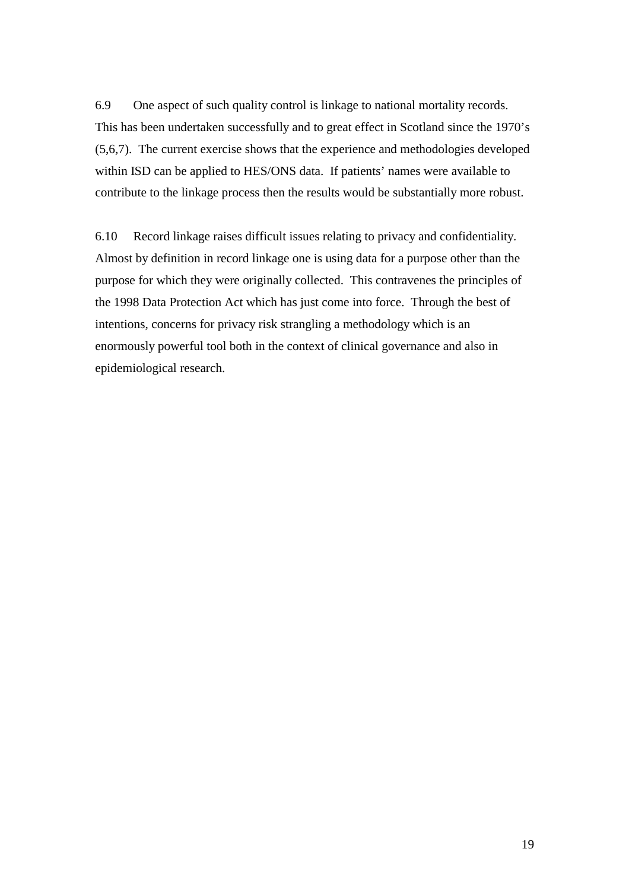6.9 One aspect of such quality control is linkage to national mortality records. This has been undertaken successfully and to great effect in Scotland since the 1970's (5,6,7). The current exercise shows that the experience and methodologies developed within ISD can be applied to HES/ONS data. If patients' names were available to contribute to the linkage process then the results would be substantially more robust.

6.10 Record linkage raises difficult issues relating to privacy and confidentiality. Almost by definition in record linkage one is using data for a purpose other than the purpose for which they were originally collected. This contravenes the principles of the 1998 Data Protection Act which has just come into force. Through the best of intentions, concerns for privacy risk strangling a methodology which is an enormously powerful tool both in the context of clinical governance and also in epidemiological research.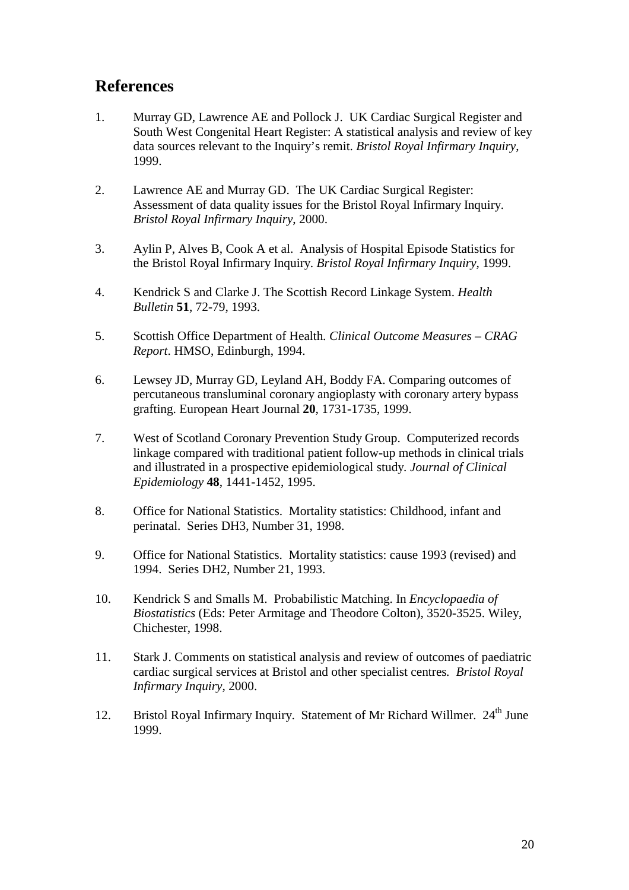# **References**

- 1. Murray GD, Lawrence AE and Pollock J. UK Cardiac Surgical Register and South West Congenital Heart Register: A statistical analysis and review of key data sources relevant to the Inquiry's remit. *Bristol Royal Infirmary Inquiry*, 1999.
- 2. Lawrence AE and Murray GD. The UK Cardiac Surgical Register: Assessment of data quality issues for the Bristol Royal Infirmary Inquiry. *Bristol Royal Infirmary Inquiry*, 2000.
- 3. Aylin P, Alves B, Cook A et al. Analysis of Hospital Episode Statistics for the Bristol Royal Infirmary Inquiry. *Bristol Royal Infirmary Inquiry*, 1999.
- 4. Kendrick S and Clarke J. The Scottish Record Linkage System. *Health Bulletin* **51**, 72-79, 1993.
- 5. Scottish Office Department of Health*. Clinical Outcome Measures CRAG Report*. HMSO, Edinburgh, 1994.
- 6. Lewsey JD, Murray GD, Leyland AH, Boddy FA. Comparing outcomes of percutaneous transluminal coronary angioplasty with coronary artery bypass grafting. European Heart Journal **20**, 1731-1735, 1999.
- 7. West of Scotland Coronary Prevention Study Group. Computerized records linkage compared with traditional patient follow-up methods in clinical trials and illustrated in a prospective epidemiological study*. Journal of Clinical Epidemiology* **48**, 1441-1452, 1995.
- 8. Office for National Statistics. Mortality statistics: Childhood, infant and perinatal. Series DH3, Number 31, 1998.
- 9. Office for National Statistics. Mortality statistics: cause 1993 (revised) and 1994. Series DH2, Number 21, 1993.
- 10. Kendrick S and Smalls M. Probabilistic Matching. In *Encyclopaedia of Biostatistics* (Eds: Peter Armitage and Theodore Colton), 3520-3525. Wiley, Chichester, 1998.
- 11. Stark J. Comments on statistical analysis and review of outcomes of paediatric cardiac surgical services at Bristol and other specialist centres*. Bristol Royal Infirmary Inquiry*, 2000.
- 12. Bristol Royal Infirmary Inquiry. Statement of Mr Richard Willmer.  $24<sup>th</sup>$  June 1999.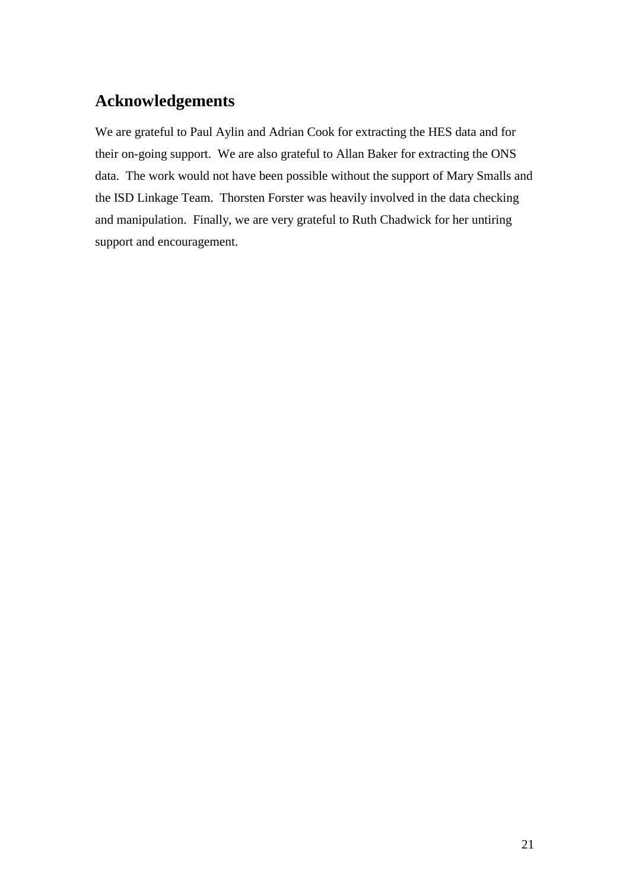# **Acknowledgements**

We are grateful to Paul Aylin and Adrian Cook for extracting the HES data and for their on-going support. We are also grateful to Allan Baker for extracting the ONS data. The work would not have been possible without the support of Mary Smalls and the ISD Linkage Team. Thorsten Forster was heavily involved in the data checking and manipulation. Finally, we are very grateful to Ruth Chadwick for her untiring support and encouragement.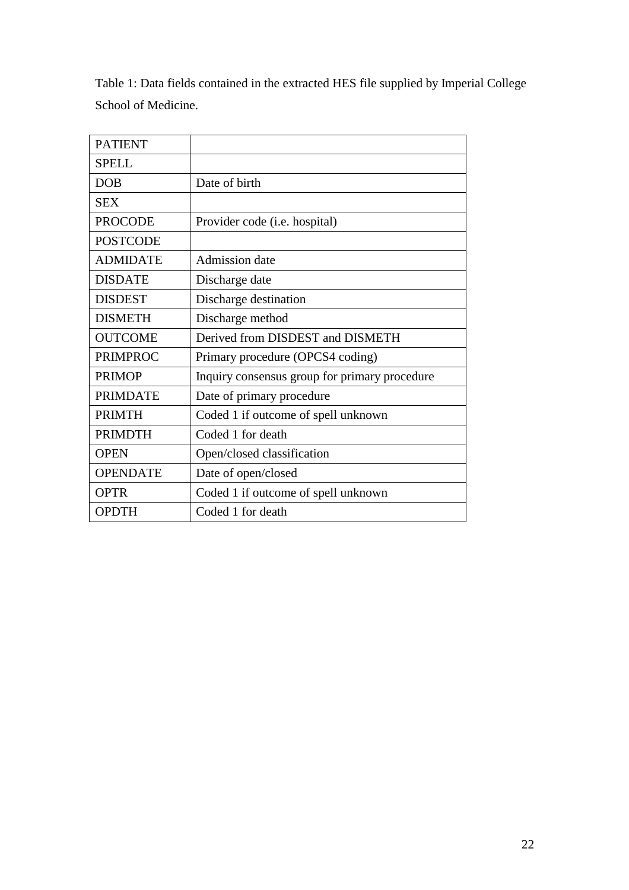Table 1: Data fields contained in the extracted HES file supplied by Imperial College School of Medicine.

| <b>PATIENT</b>  |                                               |
|-----------------|-----------------------------------------------|
| <b>SPELL</b>    |                                               |
| <b>DOB</b>      | Date of birth                                 |
| SEX             |                                               |
| <b>PROCODE</b>  | Provider code (i.e. hospital)                 |
| <b>POSTCODE</b> |                                               |
| <b>ADMIDATE</b> | Admission date                                |
| <b>DISDATE</b>  | Discharge date                                |
| <b>DISDEST</b>  | Discharge destination                         |
| <b>DISMETH</b>  | Discharge method                              |
| <b>OUTCOME</b>  | Derived from DISDEST and DISMETH              |
| <b>PRIMPROC</b> | Primary procedure (OPCS4 coding)              |
| <b>PRIMOP</b>   | Inquiry consensus group for primary procedure |
| <b>PRIMDATE</b> | Date of primary procedure                     |
| <b>PRIMTH</b>   | Coded 1 if outcome of spell unknown           |
| <b>PRIMDTH</b>  | Coded 1 for death                             |
| <b>OPEN</b>     | Open/closed classification                    |
| <b>OPENDATE</b> | Date of open/closed                           |
| <b>OPTR</b>     | Coded 1 if outcome of spell unknown           |
| <b>OPDTH</b>    | Coded 1 for death                             |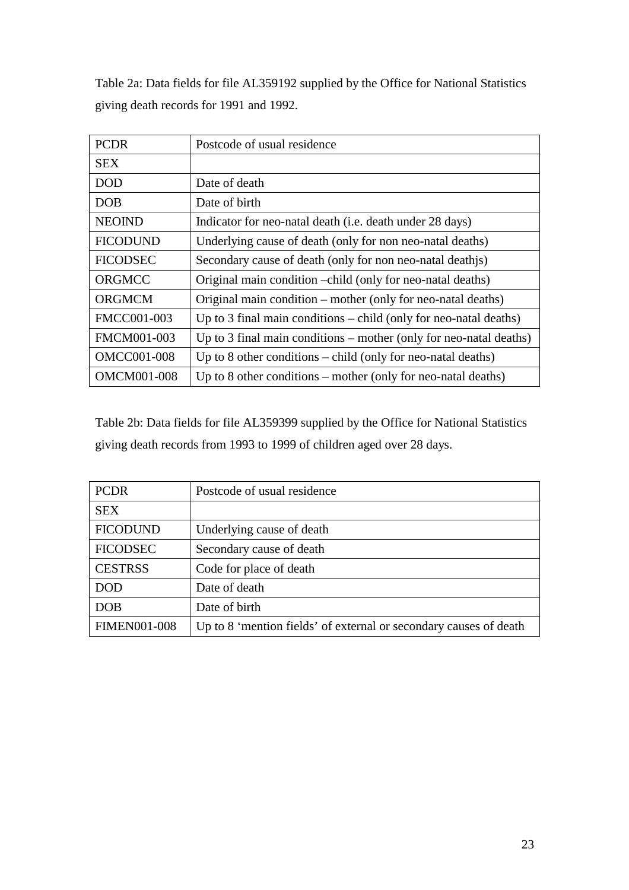Table 2a: Data fields for file AL359192 supplied by the Office for National Statistics giving death records for 1991 and 1992.

| <b>PCDR</b>        | Postcode of usual residence                                          |
|--------------------|----------------------------------------------------------------------|
| <b>SEX</b>         |                                                                      |
| <b>DOD</b>         | Date of death                                                        |
| <b>DOB</b>         | Date of birth                                                        |
| <b>NEOIND</b>      | Indicator for neo-natal death ( <i>i.e.</i> death under 28 days)     |
| <b>FICODUND</b>    | Underlying cause of death (only for non neo-natal deaths)            |
| <b>FICODSEC</b>    | Secondary cause of death (only for non neo-natal deathis)            |
| ORGMCC             | Original main condition –child (only for neo-natal deaths)           |
| <b>ORGMCM</b>      | Original main condition – mother (only for neo-natal deaths)         |
| FMCC001-003        | Up to 3 final main conditions $-$ child (only for neo-natal deaths)  |
| FMCM001-003        | Up to 3 final main conditions $-$ mother (only for neo-natal deaths) |
| <b>OMCC001-008</b> | Up to 8 other conditions – child (only for neo-natal deaths)         |
| <b>OMCM001-008</b> | Up to 8 other conditions – mother (only for neo-natal deaths)        |

Table 2b: Data fields for file AL359399 supplied by the Office for National Statistics giving death records from 1993 to 1999 of children aged over 28 days.

| <b>PCDR</b>         | Postcode of usual residence                                       |
|---------------------|-------------------------------------------------------------------|
| <b>SEX</b>          |                                                                   |
| <b>FICODUND</b>     | Underlying cause of death                                         |
| <b>FICODSEC</b>     | Secondary cause of death                                          |
| <b>CESTRSS</b>      | Code for place of death                                           |
| <b>DOD</b>          | Date of death                                                     |
| <b>DOB</b>          | Date of birth                                                     |
| <b>FIMEN001-008</b> | Up to 8 'mention fields' of external or secondary causes of death |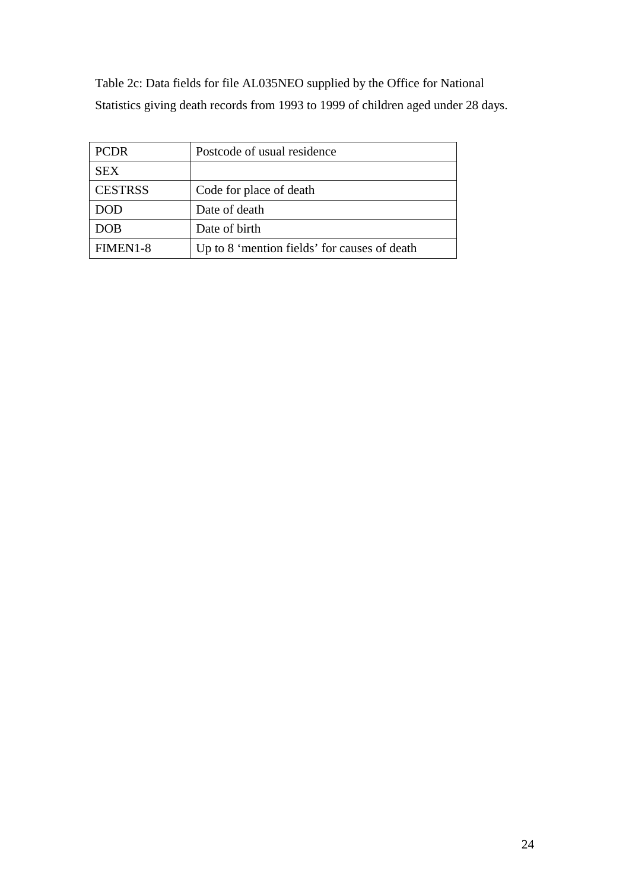Table 2c: Data fields for file AL035NEO supplied by the Office for National Statistics giving death records from 1993 to 1999 of children aged under 28 days.

| <b>PCDR</b>    | Postcode of usual residence                  |
|----------------|----------------------------------------------|
| <b>SEX</b>     |                                              |
| <b>CESTRSS</b> | Code for place of death                      |
| DOD            | Date of death                                |
| <b>DOB</b>     | Date of birth                                |
| FIMEN1-8       | Up to 8 'mention fields' for causes of death |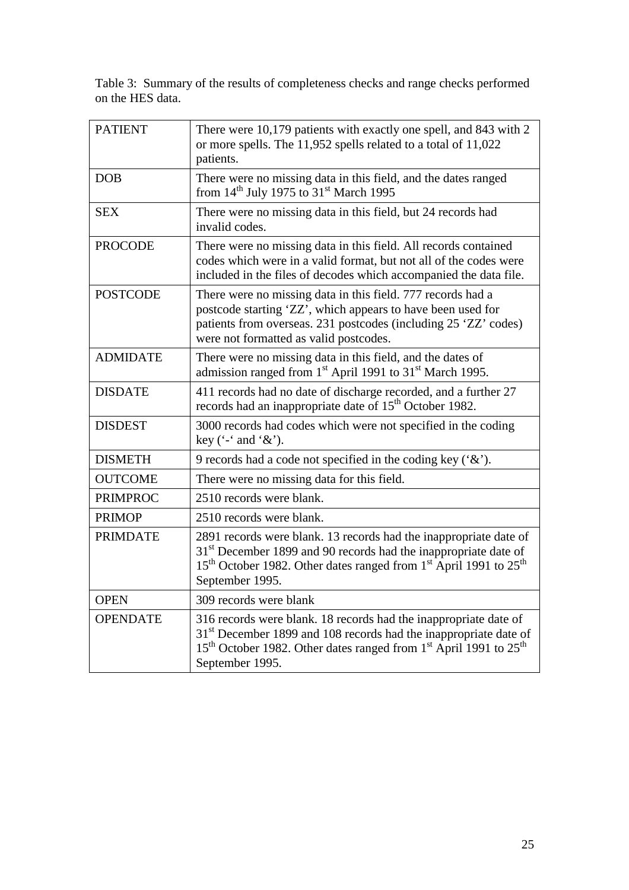Table 3: Summary of the results of completeness checks and range checks performed on the HES data.

| <b>PATIENT</b>  | There were 10,179 patients with exactly one spell, and 843 with 2<br>or more spells. The 11,952 spells related to a total of 11,022<br>patients.                                                                                                                             |
|-----------------|------------------------------------------------------------------------------------------------------------------------------------------------------------------------------------------------------------------------------------------------------------------------------|
| <b>DOB</b>      | There were no missing data in this field, and the dates ranged<br>from $14th$ July 1975 to $31st$ March 1995                                                                                                                                                                 |
| <b>SEX</b>      | There were no missing data in this field, but 24 records had<br>invalid codes.                                                                                                                                                                                               |
| <b>PROCODE</b>  | There were no missing data in this field. All records contained<br>codes which were in a valid format, but not all of the codes were<br>included in the files of decodes which accompanied the data file.                                                                    |
| <b>POSTCODE</b> | There were no missing data in this field. 777 records had a<br>postcode starting 'ZZ', which appears to have been used for<br>patients from overseas. 231 postcodes (including 25 'ZZ' codes)<br>were not formatted as valid postcodes.                                      |
| <b>ADMIDATE</b> | There were no missing data in this field, and the dates of<br>admission ranged from 1 <sup>st</sup> April 1991 to 31 <sup>st</sup> March 1995.                                                                                                                               |
| <b>DISDATE</b>  | 411 records had no date of discharge recorded, and a further 27<br>records had an inappropriate date of 15 <sup>th</sup> October 1982.                                                                                                                                       |
| <b>DISDEST</b>  | 3000 records had codes which were not specified in the coding<br>key $(*$ and $\&$ .                                                                                                                                                                                         |
| <b>DISMETH</b>  | 9 records had a code not specified in the coding key $({}^{\circ}\&{}^{\circ})$ .                                                                                                                                                                                            |
| <b>OUTCOME</b>  | There were no missing data for this field.                                                                                                                                                                                                                                   |
| <b>PRIMPROC</b> | 2510 records were blank.                                                                                                                                                                                                                                                     |
| <b>PRIMOP</b>   | 2510 records were blank.                                                                                                                                                                                                                                                     |
| <b>PRIMDATE</b> | 2891 records were blank. 13 records had the inappropriate date of<br>31 <sup>st</sup> December 1899 and 90 records had the inappropriate date of<br>15 <sup>th</sup> October 1982. Other dates ranged from 1 <sup>st</sup> April 1991 to 25 <sup>th</sup><br>September 1995. |
| <b>OPEN</b>     | 309 records were blank                                                                                                                                                                                                                                                       |
| <b>OPENDATE</b> | 316 records were blank. 18 records had the inappropriate date of<br>31 <sup>st</sup> December 1899 and 108 records had the inappropriate date of<br>15 <sup>th</sup> October 1982. Other dates ranged from 1 <sup>st</sup> April 1991 to 25 <sup>th</sup><br>September 1995. |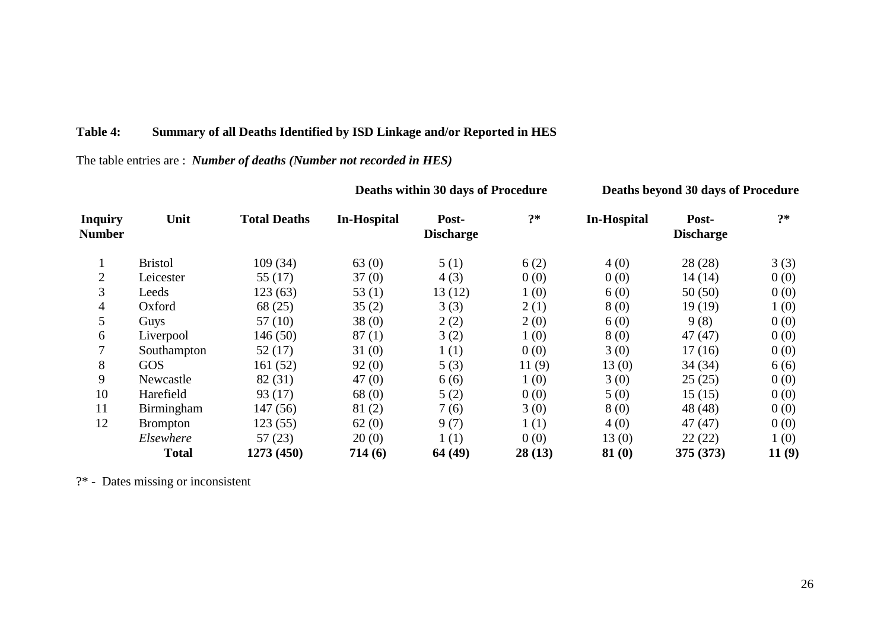## **Table 4: Summary of all Deaths Identified by ISD Linkage and/or Reported in HES**

## The table entries are : *Number of deaths (Number not recorded in HES)*

| <b>Inquiry</b><br><b>Number</b> | Unit              | <b>Total Deaths</b> | <b>In-Hospital</b> | Post-<br><b>Discharge</b> | $?*$   | <b>In-Hospital</b> | Post-<br><b>Discharge</b> | ク*    |
|---------------------------------|-------------------|---------------------|--------------------|---------------------------|--------|--------------------|---------------------------|-------|
|                                 | <b>Bristol</b>    | 109 (34)            | 63(0)              | 5(1)                      | 6(2)   | 4(0)               | 28(28)                    | 3(3)  |
| $\overline{2}$                  | Leicester         | 55 $(17)$           | 37(0)              | 4(3)                      | 0(0)   | 0(0)               | 14(14)                    | 0(0)  |
| 3                               | Leeds             | 123 (63)            | 53 $(1)$           | 13(12)                    | 1(0)   | 6(0)               | 50(50)                    | 0(0)  |
| 4                               | Oxford            | 68 (25)             | 35(2)              | 3(3)                      | 2(1)   | 8(0)               | 19(19)                    | 1(0)  |
| 5                               | Guys              | 57(10)              | 38(0)              | 2(2)                      | 2(0)   | 6(0)               | 9(8)                      | 0(0)  |
| 6                               | Liverpool         | 146 (50)            | 87(1)              | 3(2)                      | 1(0)   | 8(0)               | 47(47)                    | 0(0)  |
| 7                               | Southampton       | 52(17)              | 31(0)              | 1(1)                      | 0(0)   | 3(0)               | 17(16)                    | 0(0)  |
| 8                               | <b>GOS</b>        | 161(52)             | 92(0)              | 5(3)                      | 11(9)  | 13(0)              | 34(34)                    | 6(6)  |
| 9                               | Newcastle         | 82 (31)             | 47(0)              | 6(6)                      | 1(0)   | 3(0)               | 25(25)                    | 0(0)  |
| 10                              | Harefield         | 93(17)              | 68(0)              | 5(2)                      | 0(0)   | 5(0)               | 15(15)                    | 0(0)  |
| 11                              | <b>Birmingham</b> | 147(56)             | 81(2)              | 7(6)                      | 3(0)   | 8(0)               | 48 (48)                   | 0(0)  |
| 12                              | <b>Brompton</b>   | 123(55)             | 62(0)              | 9(7)                      | 1(1)   | 4(0)               | 47(47)                    | 0(0)  |
|                                 | Elsewhere         | 57(23)              | 20(0)              | 1(1)                      | 0(0)   | 13(0)              | 22(22)                    | 1(0)  |
|                                 | <b>Total</b>      | 1273 (450)          | 714(6)             | 64 (49)                   | 28(13) | 81(0)              | 375 (373)                 | 11(9) |

**Deaths within 30 days of Procedure Deaths beyond 30 days of Procedure**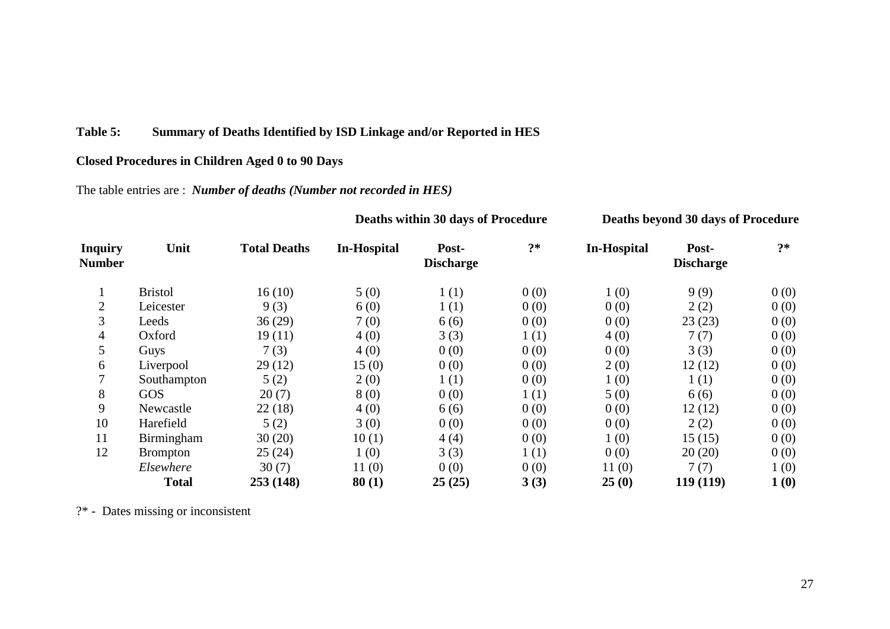### **Table 5: Summary of Deaths Identified by ISD Linkage and/or Reported in HES**

### **Closed Procedures in Children Aged 0 to 90 Days**

The table entries are : *Number of deaths (Number not recorded in HES)*

| <b>Inquiry</b><br><b>Number</b> | Unit              | <b>Total Deaths</b> | In-Hospital | Post-<br><b>Discharge</b> | $?*$ | <b>In-Hospital</b> | Post-<br><b>Discharge</b> | $?*$ |
|---------------------------------|-------------------|---------------------|-------------|---------------------------|------|--------------------|---------------------------|------|
| $\mathbf{1}$                    | <b>Bristol</b>    | 16(10)              | 5(0)        | 1(1)                      | 0(0) | 1(0)               | 9(9)                      | 0(0) |
| $\overline{2}$                  | Leicester         | 9(3)                | 6(0)        | 1(1)                      | 0(0) | 0(0)               | 2(2)                      | 0(0) |
| 3                               | Leeds             | 36(29)              | 7(0)        | 6(6)                      | 0(0) | 0(0)               | 23(23)                    | 0(0) |
| $\overline{4}$                  | Oxford            | 19(11)              | 4(0)        | 3(3)                      | 1(1) | 4(0)               | 7(7)                      | 0(0) |
| 5                               | Guys              | 7(3)                | 4(0)        | 0(0)                      | 0(0) | 0(0)               | 3(3)                      | 0(0) |
| 6                               | Liverpool         | 29(12)              | 15(0)       | 0(0)                      | 0(0) | 2(0)               | 12(12)                    | 0(0) |
| 7                               | Southampton       | 5(2)                | 2(0)        | 1(1)                      | 0(0) | 1(0)               | 1(1)                      | 0(0) |
| 8                               | GOS               | 20(7)               | 8(0)        | 0(0)                      | 1(1) | 5(0)               | 6(6)                      | 0(0) |
| 9                               | Newcastle         | 22(18)              | 4(0)        | 6(6)                      | 0(0) | 0(0)               | 12(12)                    | 0(0) |
| 10                              | Harefield         | 5(2)                | 3(0)        | 0(0)                      | 0(0) | 0(0)               | 2(2)                      | 0(0) |
| 11                              | <b>Birmingham</b> | 30(20)              | 10(1)       | 4(4)                      | 0(0) | 1(0)               | 15(15)                    | 0(0) |
| 12                              | <b>Brompton</b>   | 25(24)              | 1(0)        | 3(3)                      | 1(1) | 0(0)               | 20(20)                    | 0(0) |
|                                 | Elsewhere         | 30(7)               | 11(0)       | 0(0)                      | 0(0) | 11(0)              | 7(7)                      | 1(0) |
|                                 | <b>Total</b>      | 253 (148)           | 80(1)       | 25(25)                    | 3(3) | 25(0)              | 119 (119)                 | 1(0) |

**Deaths within 30 days of Procedure Deaths beyond 30 days of Procedure**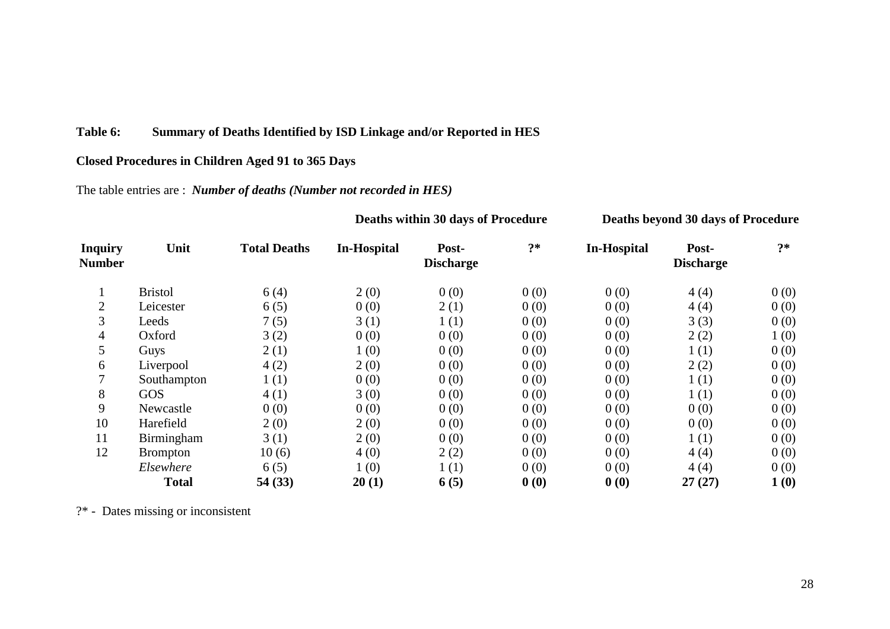## **Table 6: Summary of Deaths Identified by ISD Linkage and/or Reported in HES**

### **Closed Procedures in Children Aged 91 to 365 Days**

The table entries are : *Number of deaths (Number not recorded in HES)*

| <b>Inquiry</b><br><b>Number</b> | Unit              | <b>Total Deaths</b> | <b>In-Hospital</b> | Post-<br><b>Discharge</b> | $?*$ | <b>In-Hospital</b> | Post-<br><b>Discharge</b> | $2*$ |
|---------------------------------|-------------------|---------------------|--------------------|---------------------------|------|--------------------|---------------------------|------|
| $\mathbf{1}$                    | <b>Bristol</b>    | 6(4)                | 2(0)               | 0(0)                      | 0(0) | 0(0)               | 4(4)                      | 0(0) |
| $\overline{2}$                  | Leicester         | 6(5)                | 0(0)               | 2(1)                      | 0(0) | 0(0)               | 4(4)                      | 0(0) |
| 3                               | Leeds             | 7(5)                | 3(1)               | 1(1)                      | 0(0) | 0(0)               | 3(3)                      | 0(0) |
| 4                               | Oxford            | 3(2)                | 0(0)               | 0(0)                      | 0(0) | 0(0)               | 2(2)                      | 1(0) |
| 5                               | Guys              | 2(1)                | 1(0)               | 0(0)                      | 0(0) | 0(0)               | 1(1)                      | 0(0) |
| 6                               | Liverpool         | 4(2)                | 2(0)               | 0(0)                      | 0(0) | 0(0)               | 2(2)                      | 0(0) |
| 7                               | Southampton       | 1(1)                | 0(0)               | 0(0)                      | 0(0) | 0(0)               | 1(1)                      | 0(0) |
| 8                               | GOS               | 4(1)                | 3(0)               | 0(0)                      | 0(0) | 0(0)               | 1(1)                      | 0(0) |
| 9                               | Newcastle         | 0(0)                | 0(0)               | 0(0)                      | 0(0) | 0(0)               | 0(0)                      | 0(0) |
| 10                              | Harefield         | 2(0)                | 2(0)               | 0(0)                      | 0(0) | 0(0)               | 0(0)                      | 0(0) |
| 11                              | <b>Birmingham</b> | 3(1)                | 2(0)               | 0(0)                      | 0(0) | 0(0)               | 1(1)                      | 0(0) |
| 12                              | <b>Brompton</b>   | 10(6)               | 4(0)               | 2(2)                      | 0(0) | 0(0)               | 4(4)                      | 0(0) |
|                                 | Elsewhere         | 6(5)                | 1(0)               | 1(1)                      | 0(0) | 0(0)               | 4(4)                      | 0(0) |
|                                 | <b>Total</b>      | 54(33)              | 20(1)              | 6(5)                      | 0(0) | 0(0)               | 27(27)                    | 1(0) |

**Deaths within 30 days of Procedure Deaths beyond 30 days of Procedure**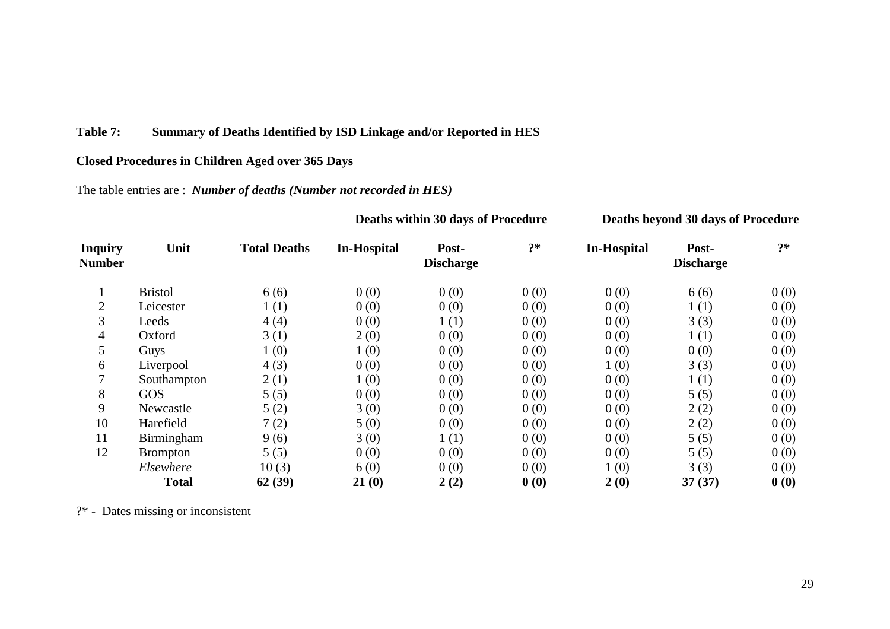### **Table 7: Summary of Deaths Identified by ISD Linkage and/or Reported in HES**

### **Closed Procedures in Children Aged over 365 Days**

The table entries are : *Number of deaths (Number not recorded in HES)*

| <b>Inquiry</b> | Unit              | <b>Total Deaths</b> | <b>In-Hospital</b> | Post-            | $?*$ | <b>In-Hospital</b> | Post-            | $?*$ |
|----------------|-------------------|---------------------|--------------------|------------------|------|--------------------|------------------|------|
| <b>Number</b>  |                   |                     |                    | <b>Discharge</b> |      |                    | <b>Discharge</b> |      |
| 1              | <b>Bristol</b>    | 6(6)                | 0(0)               | 0(0)             | 0(0) | 0(0)               | 6(6)             | 0(0) |
| $\overline{2}$ | Leicester         | 1(1)                | 0(0)               | 0(0)             | 0(0) | 0(0)               | 1(1)             | 0(0) |
| 3              | Leeds             | 4(4)                | 0(0)               | 1(1)             | 0(0) | 0(0)               | 3(3)             | 0(0) |
| 4              | Oxford            | 3(1)                | 2(0)               | 0(0)             | 0(0) | 0(0)               | 1(1)             | 0(0) |
| 5              | Guys              | 1(0)                | 1(0)               | 0(0)             | 0(0) | 0(0)               | 0(0)             | 0(0) |
| 6              | Liverpool         | 4(3)                | 0(0)               | 0(0)             | 0(0) | 1(0)               | 3(3)             | 0(0) |
| 7              | Southampton       | 2(1)                | 1(0)               | 0(0)             | 0(0) | 0(0)               | 1(1)             | 0(0) |
| 8              | GOS               | 5(5)                | 0(0)               | 0(0)             | 0(0) | 0(0)               | 5(5)             | 0(0) |
| 9              | Newcastle         | 5(2)                | 3(0)               | 0(0)             | 0(0) | 0(0)               | 2(2)             | 0(0) |
| 10             | Harefield         | 7(2)                | 5(0)               | 0(0)             | 0(0) | 0(0)               | 2(2)             | 0(0) |
| 11             | <b>Birmingham</b> | 9(6)                | 3(0)               | 1(1)             | 0(0) | 0(0)               | 5(5)             | 0(0) |
| 12             | <b>Brompton</b>   | 5(5)                | 0(0)               | 0(0)             | 0(0) | 0(0)               | 5(5)             | 0(0) |
|                | Elsewhere         | 10(3)               | 6(0)               | 0(0)             | 0(0) | 1(0)               | 3(3)             | 0(0) |
|                | <b>Total</b>      | 62(39)              | 21(0)              | 2(2)             | 0(0) | 2(0)               | 37(37)           | 0(0) |

**Deaths within 30 days of Procedure Deaths beyond 30 days of Procedure**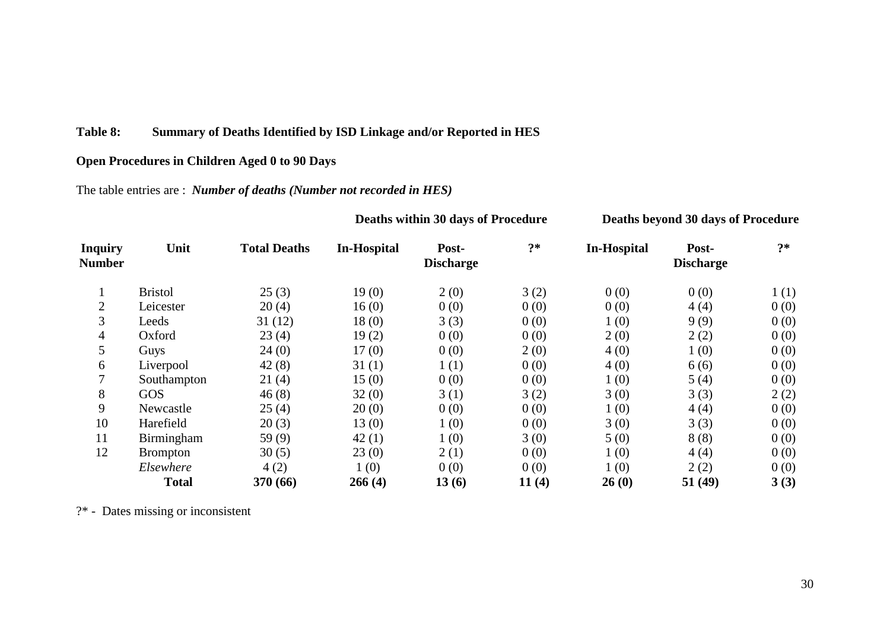### **Table 8: Summary of Deaths Identified by ISD Linkage and/or Reported in HES**

## **Open Procedures in Children Aged 0 to 90 Days**

The table entries are : *Number of deaths (Number not recorded in HES)*

|                          | Unit            |                     | Deaths within 30 days of Procedure |                           |       | Deaths beyond 30 days of Procedure |                           |      |
|--------------------------|-----------------|---------------------|------------------------------------|---------------------------|-------|------------------------------------|---------------------------|------|
| <b>Inquiry</b><br>Number |                 | <b>Total Deaths</b> | <b>In-Hospital</b>                 | Post-<br><b>Discharge</b> | $? *$ | <b>In-Hospital</b>                 | Post-<br><b>Discharge</b> | $2*$ |
| $\bf{I}$                 | <b>Bristol</b>  | 25(3)               | 19(0)                              | 2(0)                      | 3(2)  | 0(0)                               | 0(0)                      | 1(1) |
| $\overline{2}$           | Leicester       | 20(4)               | 16(0)                              | 0(0)                      | 0(0)  | 0(0)                               | 4(4)                      | 0(0) |
| 3                        | Leeds           | 31(12)              | 18(0)                              | 3(3)                      | 0(0)  | 1(0)                               | 9(9)                      | 0(0) |
| 4                        | Oxford          | 23(4)               | 19(2)                              | 0(0)                      | 0(0)  | 2(0)                               | 2(2)                      | 0(0) |
| 5                        | Guys            | 24(0)               | 17(0)                              | 0(0)                      | 2(0)  | 4(0)                               | 1(0)                      | 0(0) |
| 6                        | Liverpool       | 42(8)               | 31(1)                              | 1(1)                      | 0(0)  | 4(0)                               | 6(6)                      | 0(0) |
| 7                        | Southampton     | 21(4)               | 15(0)                              | 0(0)                      | 0(0)  | 1(0)                               | 5(4)                      | 0(0) |
| 8                        | <b>GOS</b>      | 46(8)               | 32(0)                              | 3(1)                      | 3(2)  | 3(0)                               | 3(3)                      | 2(2) |
| 9                        | Newcastle       | 25(4)               | 20(0)                              | 0(0)                      | 0(0)  | 1(0)                               | 4(4)                      | 0(0) |
| 10                       | Harefield       | 20(3)               | 13(0)                              | 1(0)                      | 0(0)  | 3(0)                               | 3(3)                      | 0(0) |
| 11                       | Birmingham      | 59 $(9)$            | 42(1)                              | 1(0)                      | 3(0)  | 5(0)                               | 8(8)                      | 0(0) |
| 12                       | <b>Brompton</b> | 30(5)               | 23(0)                              | 2(1)                      | 0(0)  | 1(0)                               | 4(4)                      | 0(0) |
|                          | Elsewhere       | 4(2)                | 1(0)                               | 0(0)                      | 0(0)  | 1(0)                               | 2(2)                      | 0(0) |
|                          | <b>Total</b>    | 370 (66)            | 266(4)                             | 13(6)                     | 11(4) | 26(0)                              | 51(49)                    | 3(3) |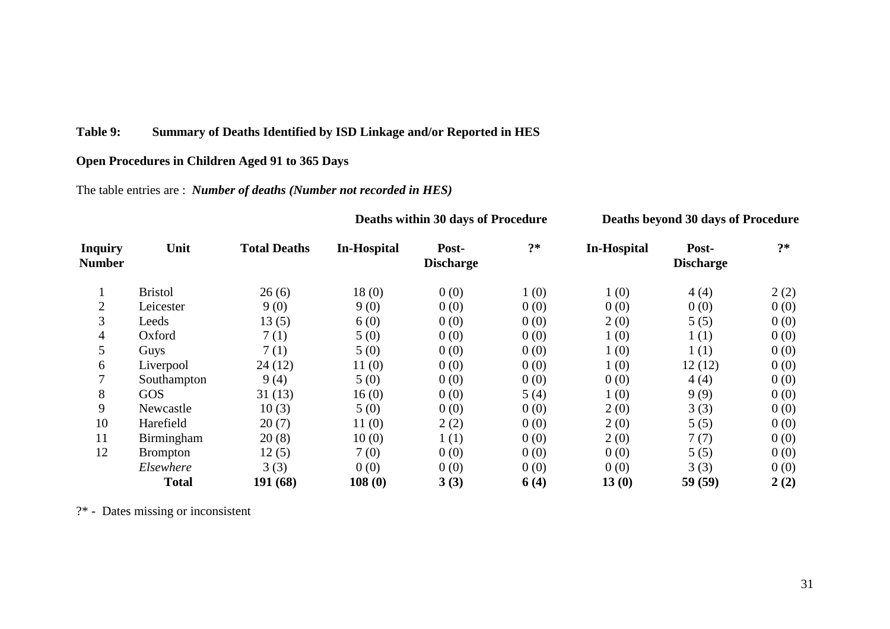## **Table 9: Summary of Deaths Identified by ISD Linkage and/or Reported in HES**

## **Open Procedures in Children Aged 91 to 365 Days**

The table entries are : *Number of deaths (Number not recorded in HES)*

| <b>Inquiry</b><br><b>Number</b> | Unit            | <b>Total Deaths</b> | <b>In-Hospital</b> | Post-<br><b>Discharge</b> | $? *$ | <b>In-Hospital</b> | Post-<br><b>Discharge</b> | $?*$ |  |  |
|---------------------------------|-----------------|---------------------|--------------------|---------------------------|-------|--------------------|---------------------------|------|--|--|
|                                 |                 |                     |                    |                           |       |                    |                           |      |  |  |
|                                 | <b>Bristol</b>  | 26(6)               | 18(0)              | 0(0)                      | 1(0)  | 1(0)               | 4(4)                      | 2(2) |  |  |
| $\overline{2}$                  | Leicester       | 9(0)                | 9(0)               | 0(0)                      | 0(0)  | 0(0)               | 0(0)                      | 0(0) |  |  |
| 3                               | Leeds           | 13(5)               | 6(0)               | 0(0)                      | 0(0)  | 2(0)               | 5(5)                      | 0(0) |  |  |
| $\overline{4}$                  | Oxford          | 7(1)                | 5(0)               | 0(0)                      | 0(0)  | 1(0)               | 1(1)                      | 0(0) |  |  |
| 5                               | Guys            | 7(1)                | 5(0)               | 0(0)                      | 0(0)  | 1(0)               | 1(1)                      | 0(0) |  |  |
| 6                               | Liverpool       | 24(12)              | 11(0)              | 0(0)                      | 0(0)  | 1(0)               | 12(12)                    | 0(0) |  |  |
| $\overline{7}$                  | Southampton     | 9(4)                | 5(0)               | 0(0)                      | 0(0)  | 0(0)               | 4(4)                      | 0(0) |  |  |
| 8                               | GOS             | 31(13)              | 16(0)              | 0(0)                      | 5(4)  | 1(0)               | 9(9)                      | 0(0) |  |  |
| 9                               | Newcastle       | 10(3)               | 5(0)               | 0(0)                      | 0(0)  | 2(0)               | 3(3)                      | 0(0) |  |  |
| 10                              | Harefield       | 20(7)               | 11(0)              | 2(2)                      | 0(0)  | 2(0)               | 5(5)                      | 0(0) |  |  |
| 11                              | Birmingham      | 20(8)               | 10(0)              | 1(1)                      | 0(0)  | 2(0)               | 7(7)                      | 0(0) |  |  |
| 12                              | <b>Brompton</b> | 12(5)               | 7(0)               | 0(0)                      | 0(0)  | 0(0)               | 5(5)                      | 0(0) |  |  |
|                                 | Elsewhere       | 3(3)                | 0(0)               | 0(0)                      | 0(0)  | 0(0)               | 3(3)                      | 0(0) |  |  |
|                                 | <b>Total</b>    | 191 (68)            | 108(0)             | 3(3)                      | 6(4)  | 13(0)              | 59(59)                    | 2(2) |  |  |

**Deaths within 30 days of Procedure Deaths beyond 30 days of Procedure**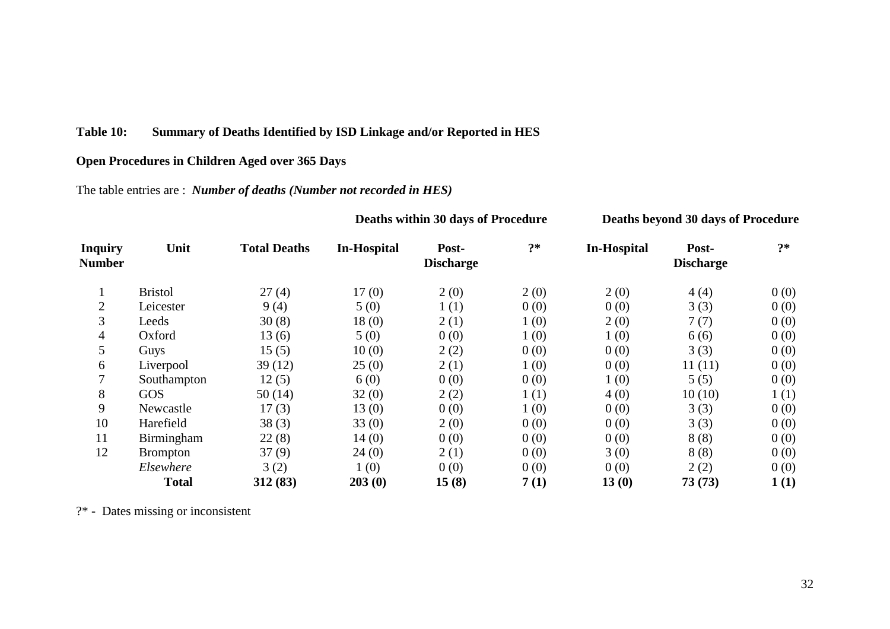## **Table 10: Summary of Deaths Identified by ISD Linkage and/or Reported in HES**

## **Open Procedures in Children Aged over 365 Days**

## The table entries are : *Number of deaths (Number not recorded in HES)*

| <b>Inquiry</b><br><b>Number</b> | Unit            | <b>Total Deaths</b> | <b>In-Hospital</b> | Post-<br><b>Discharge</b> | $?*$ | <b>In-Hospital</b> | Post-<br><b>Discharge</b> | $?*$ |
|---------------------------------|-----------------|---------------------|--------------------|---------------------------|------|--------------------|---------------------------|------|
|                                 |                 |                     |                    |                           |      |                    |                           |      |
|                                 | <b>Bristol</b>  | 27(4)               | 17(0)              | 2(0)                      | 2(0) | 2(0)               | 4(4)                      | 0(0) |
| $\overline{2}$                  | Leicester       | 9(4)                | 5(0)               | 1(1)                      | 0(0) | 0(0)               | 3(3)                      | 0(0) |
| 3                               | Leeds           | 30(8)               | 18(0)              | 2(1)                      | 1(0) | 2(0)               | 7(7)                      | 0(0) |
| $\overline{4}$                  | Oxford          | 13(6)               | 5(0)               | 0(0)                      | 1(0) | 1(0)               | 6(6)                      | 0(0) |
| 5                               | Guys            | 15(5)               | 10(0)              | 2(2)                      | 0(0) | 0(0)               | 3(3)                      | 0(0) |
| 6                               | Liverpool       | 39(12)              | 25(0)              | 2(1)                      | 1(0) | 0(0)               | 11(11)                    | 0(0) |
| $\overline{7}$                  | Southampton     | 12(5)               | 6(0)               | 0(0)                      | 0(0) | 1(0)               | 5(5)                      | 0(0) |
| 8                               | <b>GOS</b>      | 50(14)              | 32(0)              | 2(2)                      | 1(1) | 4(0)               | 10(10)                    | 1(1) |
| 9                               | Newcastle       | 17(3)               | 13(0)              | 0(0)                      | 1(0) | 0(0)               | 3(3)                      | 0(0) |
| 10                              | Harefield       | 38(3)               | 33(0)              | 2(0)                      | 0(0) | 0(0)               | 3(3)                      | 0(0) |
| 11                              | Birmingham      | 22(8)               | 14(0)              | 0(0)                      | 0(0) | 0(0)               | 8(8)                      | 0(0) |
| 12                              | <b>Brompton</b> | 37(9)               | 24(0)              | 2(1)                      | 0(0) | 3(0)               | 8(8)                      | 0(0) |
|                                 | Elsewhere       | 3(2)                | 1(0)               | 0(0)                      | 0(0) | 0(0)               | 2(2)                      | 0(0) |
|                                 | <b>Total</b>    | 312(83)             | 203(0)             | 15(8)                     | 7(1) | 13(0)              | 73(73)                    | 1(1) |

**Deaths within 30 days of Procedure Deaths beyond 30 days of Procedure**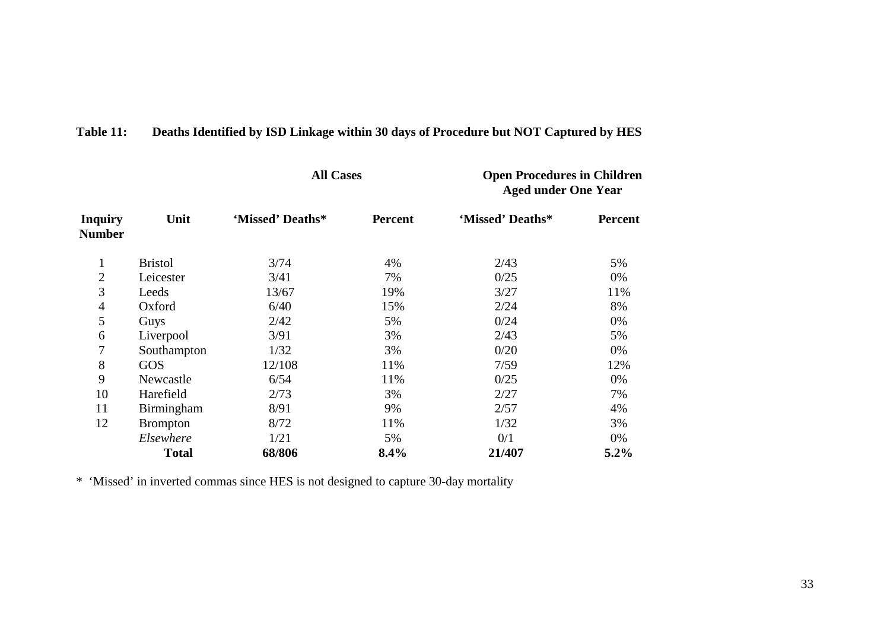|                                 |                 | <b>All Cases</b> |                | <b>Open Procedures in Children</b><br><b>Aged under One Year</b> |                |  |
|---------------------------------|-----------------|------------------|----------------|------------------------------------------------------------------|----------------|--|
| <b>Inquiry</b><br><b>Number</b> | Unit            | 'Missed' Deaths* | <b>Percent</b> | 'Missed' Deaths*                                                 | <b>Percent</b> |  |
| 1                               | <b>Bristol</b>  | 3/74             | 4%             | 2/43                                                             | 5%             |  |
| $\overline{2}$                  | Leicester       | 3/41             | 7%             | 0/25                                                             | 0%             |  |
| 3                               | Leeds           | 13/67            | 19%            | 3/27                                                             | 11%            |  |
| 4                               | Oxford          | 6/40             | 15%            | 2/24                                                             | 8%             |  |
| 5                               | Guys            | 2/42             | 5%             | 0/24                                                             | 0%             |  |
| 6                               | Liverpool       | 3/91             | 3%             | 2/43                                                             | 5%             |  |
| 7                               | Southampton     | 1/32             | 3%             | 0/20                                                             | 0%             |  |
| 8                               | GOS             | 12/108           | 11%            | 7/59                                                             | 12%            |  |
| 9                               | Newcastle       | 6/54             | 11%            | 0/25                                                             | 0%             |  |
| 10                              | Harefield       | 2/73             | 3%             | 2/27                                                             | 7%             |  |
| 11                              | Birmingham      | 8/91             | 9%             | 2/57                                                             | 4%             |  |
| 12                              | <b>Brompton</b> | 8/72             | 11%            | 1/32                                                             | 3%             |  |
|                                 | Elsewhere       | 1/21             | 5%             | 0/1                                                              | 0%             |  |
|                                 | <b>Total</b>    | 68/806           | 8.4%           | 21/407                                                           | 5.2%           |  |

# **Table 11: Deaths Identified by ISD Linkage within 30 days of Procedure but NOT Captured by HES**

\* 'Missed' in inverted commas since HES is not designed to capture 30-day mortality